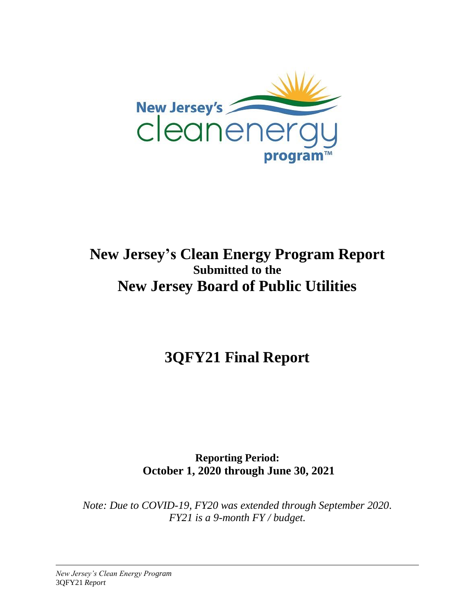

# **New Jersey's Clean Energy Program Report Submitted to the New Jersey Board of Public Utilities**

**3QFY21 Final Report**

**Reporting Period: October 1, 2020 through June 30, 2021**

*Note: Due to COVID-19, FY20 was extended through September 2020. FY21 is a 9-month FY / budget.*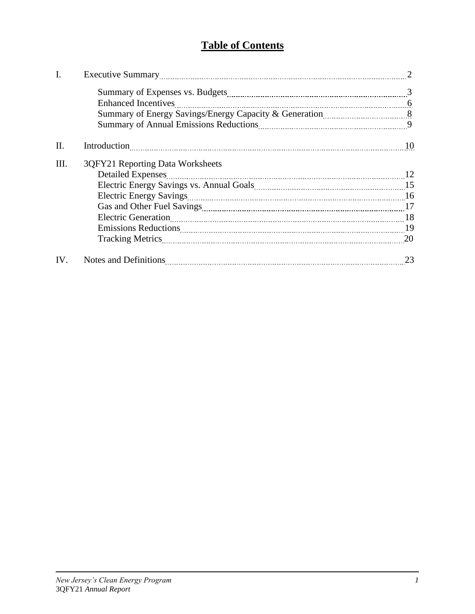# **Table of Contents**

|     | <b>Enhanced Incentives</b>                                                                                     |    |
|-----|----------------------------------------------------------------------------------------------------------------|----|
|     |                                                                                                                |    |
|     | Summary of Annual Emissions Reductions 2000 and 2000 metama and 2000 metama 2000 metama 2000 metama 2000 metam |    |
| Π.  |                                                                                                                | 10 |
| Ш.  | 3QFY21 Reporting Data Worksheets                                                                               |    |
|     | <b>Detailed Expenses</b>                                                                                       | 12 |
|     |                                                                                                                |    |
|     | <b>Electric Energy Savings</b>                                                                                 |    |
|     |                                                                                                                |    |
|     |                                                                                                                |    |
|     |                                                                                                                |    |
|     |                                                                                                                |    |
| IV. |                                                                                                                | 23 |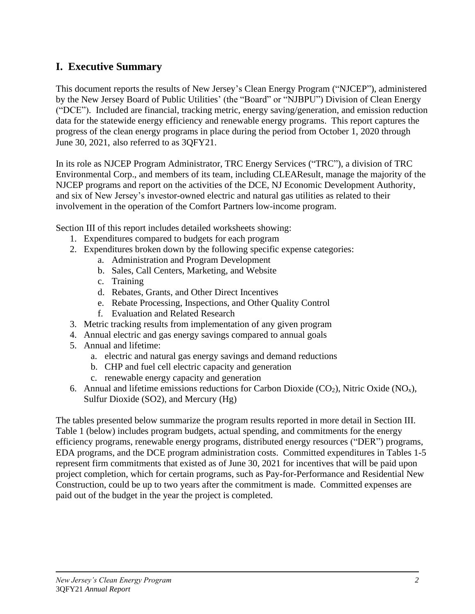# **I. Executive Summary**

This document reports the results of New Jersey's Clean Energy Program ("NJCEP"), administered by the New Jersey Board of Public Utilities' (the "Board" or "NJBPU") Division of Clean Energy ("DCE"). Included are financial, tracking metric, energy saving/generation, and emission reduction data for the statewide energy efficiency and renewable energy programs. This report captures the progress of the clean energy programs in place during the period from October 1, 2020 through June 30, 2021, also referred to as 3QFY21.

In its role as NJCEP Program Administrator, TRC Energy Services ("TRC"), a division of TRC Environmental Corp., and members of its team, including CLEAResult, manage the majority of the NJCEP programs and report on the activities of the DCE, NJ Economic Development Authority, and six of New Jersey's investor-owned electric and natural gas utilities as related to their involvement in the operation of the Comfort Partners low-income program.

Section III of this report includes detailed worksheets showing:

- 1. Expenditures compared to budgets for each program
- 2. Expenditures broken down by the following specific expense categories:
	- a. Administration and Program Development
	- b. Sales, Call Centers, Marketing, and Website
	- c. Training
	- d. Rebates, Grants, and Other Direct Incentives
	- e. Rebate Processing, Inspections, and Other Quality Control
	- f. Evaluation and Related Research
- 3. Metric tracking results from implementation of any given program
- 4. Annual electric and gas energy savings compared to annual goals
- 5. Annual and lifetime:
	- a. electric and natural gas energy savings and demand reductions
	- b. CHP and fuel cell electric capacity and generation
	- c. renewable energy capacity and generation
- 6. Annual and lifetime emissions reductions for Carbon Dioxide  $(CO_2)$ , Nitric Oxide  $(NO_x)$ , Sulfur Dioxide (SO2), and Mercury (Hg)

The tables presented below summarize the program results reported in more detail in Section III. Table 1 (below) includes program budgets, actual spending, and commitments for the energy efficiency programs, renewable energy programs, distributed energy resources ("DER") programs, EDA programs, and the DCE program administration costs. Committed expenditures in Tables 1-5 represent firm commitments that existed as of June 30, 2021 for incentives that will be paid upon project completion, which for certain programs, such as Pay-for-Performance and Residential New Construction, could be up to two years after the commitment is made. Committed expenses are paid out of the budget in the year the project is completed.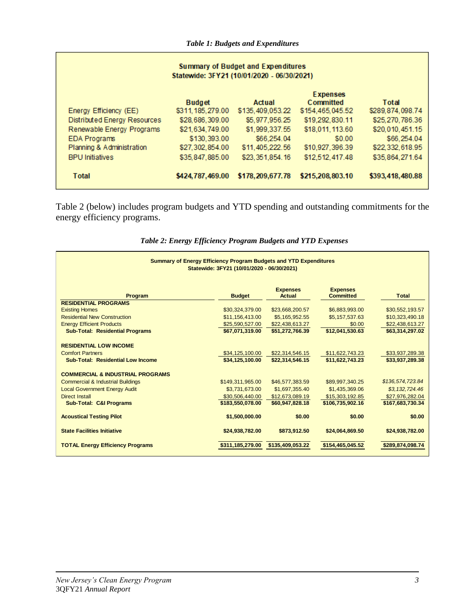| <b>Summary of Budget and Expenditures</b><br>Statewide: 3FY21 (10/01/2020 - 06/30/2021) |                    |                  |                              |                  |  |
|-----------------------------------------------------------------------------------------|--------------------|------------------|------------------------------|------------------|--|
|                                                                                         | <b>Budget</b>      | Actual           | <b>Expenses</b><br>Committed | Total            |  |
| Energy Efficiency (EE)                                                                  | \$311, 185, 279.00 | \$135,409,053.22 | \$154,465,045.52             | \$289,874,098.74 |  |
| Distributed Energy Resources                                                            | \$28,686,309.00    | \$5,977,956.25   | \$19,292,830.11              | \$25,270,786.36  |  |
| Renewable Energy Programs                                                               | \$21,634,749.00    | \$1,999,337.55   | \$18,011,113.60              | \$20,010,451.15  |  |
| <b>EDA Programs</b>                                                                     | \$130,393.00       | \$66,254.04      | \$0.00                       | \$66,254.04      |  |
| Planning & Administration                                                               | \$27,302,854.00    | \$11,405,222.56  | \$10,927,396.39              | \$22,332,618.95  |  |
| <b>BPU Initiatives</b>                                                                  | \$35,847,885.00    | \$23,351,854,16  | \$12,512,417.48              | \$35,864,271.64  |  |
| Total                                                                                   | \$424,787,469.00   | \$178,209,677.78 | \$215,208,803.10             | \$393,418,480.88 |  |

Table 2 (below) includes program budgets and YTD spending and outstanding commitments for the energy efficiency programs.

| <b>Summary of Energy Efficiency Program Budgets and YTD Expenditures</b><br>Statewide: 3FY21 (10/01/2020 - 06/30/2021) |                                    |                                    |                                     |                                    |  |  |
|------------------------------------------------------------------------------------------------------------------------|------------------------------------|------------------------------------|-------------------------------------|------------------------------------|--|--|
| <b>Program</b>                                                                                                         | <b>Budget</b>                      | <b>Expenses</b><br><b>Actual</b>   | <b>Expenses</b><br><b>Committed</b> | <b>Total</b>                       |  |  |
| <b>RESIDENTIAL PROGRAMS</b>                                                                                            |                                    |                                    |                                     |                                    |  |  |
| <b>Existing Homes</b>                                                                                                  | \$30,324,379.00                    | \$23,668,200.57                    | \$6,883,993.00                      | \$30,552,193.57                    |  |  |
| <b>Residential New Construction</b>                                                                                    | \$11,156,413.00                    | \$5,165,952.55                     | \$5,157,537.63                      | \$10,323,490.18                    |  |  |
| <b>Energy Efficient Products</b>                                                                                       | \$25,590,527.00                    | \$22,438,613.27                    | \$0.00                              | \$22,438,613.27                    |  |  |
| <b>Sub-Total: Residential Programs</b>                                                                                 | \$67,071,319.00                    | \$51,272,766.39                    | \$12,041,530.63                     | \$63,314,297.02                    |  |  |
| <b>RESIDENTIAL LOW INCOME</b><br><b>Comfort Partners</b><br><b>Sub-Total: Residential Low Income</b>                   | \$34,125,100.00<br>\$34,125,100.00 | \$22,314,546.15<br>\$22,314,546.15 | \$11,622,743.23<br>\$11,622,743.23  | \$33,937,289.38<br>\$33,937,289.38 |  |  |
| <b>COMMERCIAL &amp; INDUSTRIAL PROGRAMS</b>                                                                            |                                    |                                    |                                     |                                    |  |  |
| <b>Commercial &amp; Industrial Buildings</b>                                                                           | \$149,311,965.00                   | \$46,577,383.59                    | \$89,997,340.25                     | \$136,574,723.84                   |  |  |
| <b>Local Government Energy Audit</b>                                                                                   | \$3,731,673.00                     | \$1,697,355.40                     | \$1,435,369.06                      | \$3,132,724.46                     |  |  |
| Direct Install                                                                                                         | \$30,506,440.00                    | \$12,673,089.19                    | \$15,303,192.85                     | \$27,976,282.04                    |  |  |
| <b>Sub-Total: C&amp;I Programs</b>                                                                                     | \$183,550,078.00                   | \$60,947,828.18                    | \$106,735,902.16                    | \$167,683,730.34                   |  |  |
| <b>Acoustical Testing Pilot</b>                                                                                        | \$1,500,000.00                     | \$0.00                             | \$0.00                              | \$0.00                             |  |  |
| <b>State Facilities Initiative</b>                                                                                     | \$24,938,782.00                    | \$873,912.50                       | \$24,064,869.50                     | \$24,938,782.00                    |  |  |
| <b>TOTAL Energy Efficiency Programs</b>                                                                                | \$311,185,279.00                   | \$135,409,053.22                   | \$154,465,045.52                    | \$289,874,098.74                   |  |  |

|  |  | Table 2: Energy Efficiency Program Budgets and YTD Expenses |  |
|--|--|-------------------------------------------------------------|--|
|  |  |                                                             |  |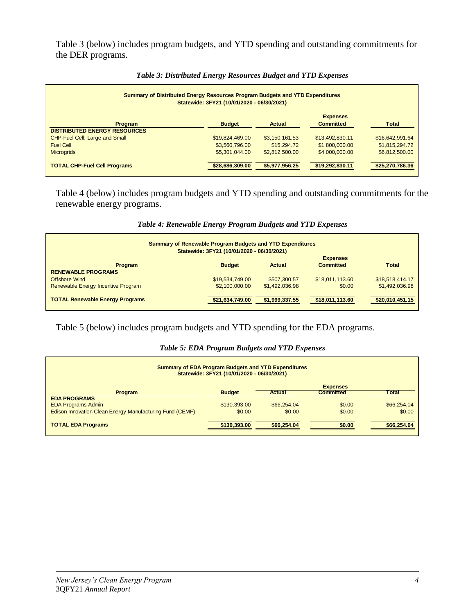Table 3 (below) includes program budgets, and YTD spending and outstanding commitments for the DER programs.

| <b>Summary of Distributed Energy Resources Program Budgets and YTD Expenditures</b><br>Statewide: 3FY21 (10/01/2020 - 06/30/2021) |                 |                |                                     |                 |  |  |
|-----------------------------------------------------------------------------------------------------------------------------------|-----------------|----------------|-------------------------------------|-----------------|--|--|
| Program<br><b>DISTRIBUTED ENERGY RESOURCES</b>                                                                                    | <b>Budget</b>   | <b>Actual</b>  | <b>Expenses</b><br><b>Committed</b> | <b>Total</b>    |  |  |
| CHP-Fuel Cell: Large and Small                                                                                                    | \$19,824,469.00 | \$3,150,161.53 | \$13.492.830.11                     | \$16,642,991.64 |  |  |
| <b>Fuel Cell</b>                                                                                                                  | \$3,560,796.00  | \$15,294.72    | \$1,800,000.00                      | \$1,815,294.72  |  |  |
| <b>Microgrids</b>                                                                                                                 | \$5,301,044.00  | \$2,812,500,00 | \$4,000,000,00                      | \$6,812,500.00  |  |  |
| <b>TOTAL CHP-Fuel Cell Programs</b>                                                                                               | \$28,686,309.00 | \$5,977,956.25 | \$19,292,830.11                     | \$25,270,786.36 |  |  |

## *Table 3: Distributed Energy Resources Budget and YTD Expenses*

Table 4 (below) includes program budgets and YTD spending and outstanding commitments for the renewable energy programs.

| <b>Summary of Renewable Program Budgets and YTD Expenditures</b><br>Statewide: 3FY21 (10/01/2020 - 06/30/2021) |                 |                |                  |                 |  |  |
|----------------------------------------------------------------------------------------------------------------|-----------------|----------------|------------------|-----------------|--|--|
|                                                                                                                |                 |                | <b>Expenses</b>  |                 |  |  |
| Program<br><b>RENEWABLE PROGRAMS</b>                                                                           | <b>Budget</b>   | Actual         | <b>Committed</b> | <b>Total</b>    |  |  |
| Offshore Wind                                                                                                  | \$19,534,749.00 | \$507,300.57   | \$18.011.113.60  | \$18,518,414.17 |  |  |
| Renewable Energy Incentive Program                                                                             | \$2,100,000.00  | \$1,492,036.98 | \$0.00           | \$1,492,036.98  |  |  |
| <b>TOTAL Renewable Energy Programs</b>                                                                         | \$21,634,749.00 | \$1,999,337.55 | \$18,011,113.60  | \$20,010,451.15 |  |  |

## *Table 4: Renewable Energy Program Budgets and YTD Expenses*

# Table 5 (below) includes program budgets and YTD spending for the EDA programs.

### *Table 5: EDA Program Budgets and YTD Expenses*

| <b>Summary of EDA Program Budgets and YTD Expenditures</b><br>Statewide: 3FY21 (10/01/2020 - 06/30/2021) |               |             |                  |              |  |  |
|----------------------------------------------------------------------------------------------------------|---------------|-------------|------------------|--------------|--|--|
|                                                                                                          |               |             | <b>Expenses</b>  |              |  |  |
| <b>Program</b>                                                                                           | <b>Budget</b> | Actual      | <b>Committed</b> | <b>Total</b> |  |  |
| <b>EDA PROGRAMS</b>                                                                                      |               |             |                  |              |  |  |
| <b>EDA Programs Admin</b>                                                                                | \$130,393,00  | \$66,254.04 | \$0.00           | \$66,254.04  |  |  |
| Edison Innovation Clean Energy Manufacturing Fund (CEMF)                                                 | \$0.00        | \$0.00      | \$0.00           | \$0.00       |  |  |
| <b>TOTAL EDA Programs</b>                                                                                | \$130,393.00  | \$66,254.04 | \$0.00           | \$66,254.04  |  |  |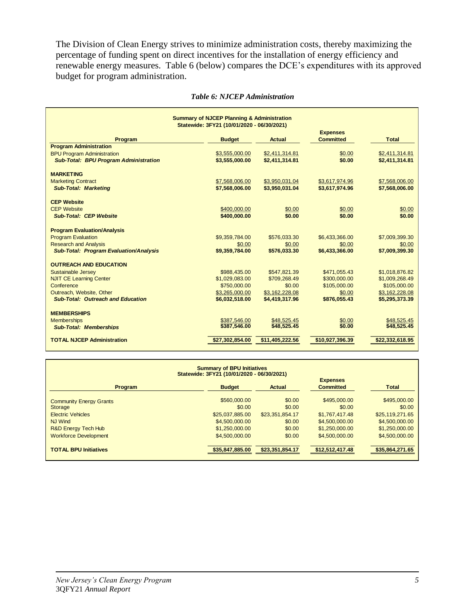The Division of Clean Energy strives to minimize administration costs, thereby maximizing the percentage of funding spent on direct incentives for the installation of energy efficiency and renewable energy measures. Table 6 (below) compares the DCE's expenditures with its approved budget for program administration.

|                                               | <b>Summary of NJCEP Planning &amp; Administration</b> |                 |                  |                 |
|-----------------------------------------------|-------------------------------------------------------|-----------------|------------------|-----------------|
|                                               | Statewide: 3FY21 (10/01/2020 - 06/30/2021)            |                 | <b>Expenses</b>  |                 |
| Program                                       | <b>Budget</b>                                         | <b>Actual</b>   | <b>Committed</b> | <b>Total</b>    |
| <b>Program Administration</b>                 |                                                       |                 |                  |                 |
| <b>BPU Program Administration</b>             | \$3,555,000.00                                        | \$2,411,314.81  | \$0.00           | \$2,411,314.81  |
| <b>Sub-Total: BPU Program Administration</b>  | \$3,555,000.00                                        | \$2,411,314.81  | \$0.00           | \$2,411,314.81  |
| <b>MARKETING</b>                              |                                                       |                 |                  |                 |
| <b>Marketing Contract</b>                     | \$7,568,006.00                                        | \$3,950,031.04  | \$3,617,974.96   | \$7,568,006.00  |
| <b>Sub-Total: Marketing</b>                   | \$7,568,006.00                                        | \$3,950,031.04  | \$3,617,974.96   | \$7,568,006.00  |
| <b>CEP Website</b>                            |                                                       |                 |                  |                 |
| <b>CEP Website</b>                            | \$400,000.00                                          | \$0.00          | \$0.00           | \$0.00          |
| <b>Sub-Total: CEP Website</b>                 | \$400,000,00                                          | \$0.00          | \$0.00           | \$0.00          |
|                                               |                                                       |                 |                  |                 |
| <b>Program Evaluation/Analysis</b>            |                                                       |                 |                  |                 |
| <b>Program Evaluation</b>                     | \$9,359,784.00                                        | \$576,033.30    | \$6,433,366.00   | \$7,009,399.30  |
| <b>Research and Analysis</b>                  | \$0.00                                                | \$0.00          | \$0.00           | \$0.00          |
| <b>Sub-Total: Program Evaluation/Analysis</b> | \$9,359,784.00                                        | \$576,033,30    | \$6,433,366,00   | \$7,009,399.30  |
| <b>OUTREACH AND EDUCATION</b>                 |                                                       |                 |                  |                 |
| <b>Sustainable Jersey</b>                     | \$988,435,00                                          | \$547,821.39    | \$471,055.43     | \$1,018,876.82  |
| <b>NJIT CE Learning Center</b>                | \$1,029,083.00                                        | \$709,268.49    | \$300,000.00     | \$1,009,268.49  |
| Conference                                    | \$750,000.00                                          | \$0.00          | \$105,000.00     | \$105,000.00    |
| Outreach, Website, Other                      | \$3,265,000.00                                        | \$3,162,228.08  | \$0.00           | \$3,162,228.08  |
| <b>Sub-Total: Outreach and Education</b>      | \$6,032,518.00                                        | \$4,419,317.96  | \$876,055.43     | \$5,295,373.39  |
| <b>MEMBERSHIPS</b>                            |                                                       |                 |                  |                 |
| <b>Memberships</b>                            | \$387,546.00                                          | \$48,525.45     | \$0.00           | \$48.525.45     |
| <b>Sub-Total: Memberships</b>                 | \$387,546.00                                          | \$48,525.45     | \$0.00           | \$48,525.45     |
| <b>TOTAL NJCEP Administration</b>             | \$27,302,854.00                                       | \$11,405,222.56 | \$10,927,396.39  | \$22,332,618.95 |

#### *Table 6: NJCEP Administration*

| <b>Summary of BPU Initiatives</b><br>Statewide: 3FY21 (10/01/2020 - 06/30/2021) |                 |                 |                                     |                 |  |  |  |
|---------------------------------------------------------------------------------|-----------------|-----------------|-------------------------------------|-----------------|--|--|--|
| Program                                                                         | <b>Budget</b>   | Actual          | <b>Expenses</b><br><b>Committed</b> | <b>Total</b>    |  |  |  |
| <b>Community Energy Grants</b>                                                  | \$560,000,00    | \$0.00          | \$495,000,00                        | \$495,000.00    |  |  |  |
| <b>Storage</b>                                                                  | \$0.00          | \$0.00          | \$0.00                              | \$0.00          |  |  |  |
| <b>Electric Vehicles</b>                                                        | \$25,037,885.00 | \$23,351,854.17 | \$1,767,417.48                      | \$25,119,271.65 |  |  |  |
| <b>NJ Wind</b>                                                                  | \$4,500,000,00  | \$0.00          | \$4,500,000,00                      | \$4,500,000.00  |  |  |  |
| <b>R&amp;D Energy Tech Hub</b>                                                  | \$1,250,000,00  | \$0.00          | \$1,250,000.00                      | \$1,250,000.00  |  |  |  |
| <b>Workforce Development</b>                                                    | \$4,500,000,00  | \$0.00          | \$4,500,000,00                      | \$4,500,000,00  |  |  |  |
| <b>TOTAL BPU Initiatives</b>                                                    | \$35,847,885.00 | \$23,351,854.17 | \$12,512,417.48                     | \$35,864,271.65 |  |  |  |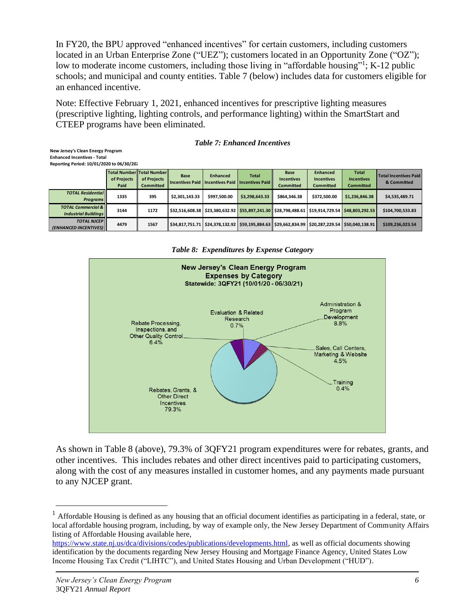In FY20, the BPU approved "enhanced incentives" for certain customers, including customers located in an Urban Enterprise Zone ("UEZ"); customers located in an Opportunity Zone ("OZ"); low to moderate income customers, including those living in "affordable housing"<sup>1</sup>; K-12 public schools; and municipal and county entities. Table 7 (below) includes data for customers eligible for an enhanced incentive.

Note: Effective February 1, 2021, enhanced incentives for prescriptive lighting measures (prescriptive lighting, lighting controls, and performance lighting) within the SmartStart and CTEEP programs have been eliminated.

|  |  |  | <b>Table 7: Enhanced Incentives</b> |
|--|--|--|-------------------------------------|
|--|--|--|-------------------------------------|

| New Jersey's Clean Energy Program         |  |  |
|-------------------------------------------|--|--|
| <b>Enhanced Incentives - Total</b>        |  |  |
| Reporting Period: 10/01/2020 to 06/30/20. |  |  |

|                                                              | Total Number Total Number<br>of Projects<br>Paid | of Projects<br><b>Committed</b> | <b>Base</b><br><b>Incentives Paid</b> | <b>Enhanced</b><br><b>Incentives Paid   Incentives Paid  </b>                                                          | <b>Total</b>                      | <b>Base</b><br><b>Incentives</b><br><b>Committed</b> | <b>Enhanced</b><br><b>Incentives</b><br><b>Committed</b> | <b>Total</b><br><b>Incentives</b><br><b>Committed</b> | <b>Total Incentives Paid</b><br>& Committed |
|--------------------------------------------------------------|--------------------------------------------------|---------------------------------|---------------------------------------|------------------------------------------------------------------------------------------------------------------------|-----------------------------------|------------------------------------------------------|----------------------------------------------------------|-------------------------------------------------------|---------------------------------------------|
| <b>TOTAL Residential</b><br><b>Programs</b>                  | 1335                                             | 395                             | \$2,301,143.33                        | \$997.500.00                                                                                                           | \$3,298,643.33                    | \$864.346.38                                         | \$372.500.00                                             | \$1,236,846.38                                        | \$4,535,489.71                              |
| <b>TOTAL Commercial &amp;</b><br><b>Industrial Buildinas</b> | 3144                                             | 1172                            |                                       | \$32,516,608.38   \$23,380,632.92   <mark>\$55,897,241.30  </mark> \$28,798,488.61   \$19,914,729.54   \$48,803,292.53 |                                   |                                                      |                                                          |                                                       | \$104,700,533.83                            |
| <b>TOTAL NJCEP</b><br><b>(ENHANCED INCENTIVES)</b>           | 4479                                             | 1567                            | \$34.817.751.71                       |                                                                                                                        | \$24.378.132.92   \$59.195.884.63 | \$29,662,834.99                                      | \$20.287.229.54 \$50.040.138.91                          |                                                       | \$109,236,023.54                            |

*Table 8: Expenditures by Expense Category*



As shown in Table 8 (above), 79.3% of 3QFY21 program expenditures were for rebates, grants, and other incentives. This includes rebates and other direct incentives paid to participating customers, along with the cost of any measures installed in customer homes, and any payments made pursuant to any NJCEP grant.

 $<sup>1</sup>$  Affordable Housing is defined as any housing that an official document identifies as participating in a federal, state, or</sup> local affordable housing program, including, by way of example only, the New Jersey Department of Community Affairs listing of Affordable Housing available here,

[https://www.state.nj.us/dca/divisions/codes/publications/developments.html,](https://www.state.nj.us/dca/divisions/codes/publications/developments.html) as well as official documents showing identification by the documents regarding New Jersey Housing and Mortgage Finance Agency, United States Low Income Housing Tax Credit ("LIHTC"), and United States Housing and Urban Development ("HUD").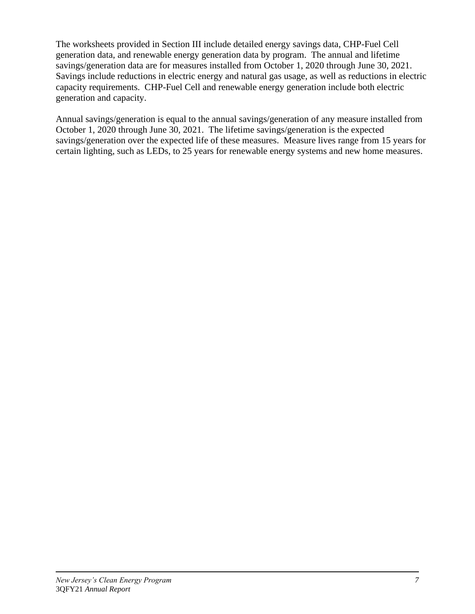The worksheets provided in Section III include detailed energy savings data, CHP-Fuel Cell generation data, and renewable energy generation data by program. The annual and lifetime savings/generation data are for measures installed from October 1, 2020 through June 30, 2021. Savings include reductions in electric energy and natural gas usage, as well as reductions in electric capacity requirements. CHP-Fuel Cell and renewable energy generation include both electric generation and capacity.

Annual savings/generation is equal to the annual savings/generation of any measure installed from October 1, 2020 through June 30, 2021. The lifetime savings/generation is the expected savings/generation over the expected life of these measures. Measure lives range from 15 years for certain lighting, such as LEDs, to 25 years for renewable energy systems and new home measures.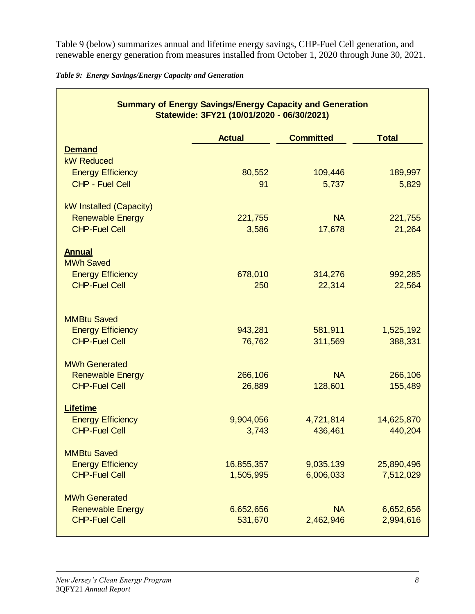Table 9 (below) summarizes annual and lifetime energy savings, CHP-Fuel Cell generation, and renewable energy generation from measures installed from October 1, 2020 through June 30, 2021.

|  |  | Table 9: Energy Savings/Energy Capacity and Generation |  |  |
|--|--|--------------------------------------------------------|--|--|
|  |  |                                                        |  |  |

|                                                                        | <b>Summary of Energy Savings/Energy Capacity and Generation</b><br>Statewide: 3FY21 (10/01/2020 - 06/30/2021) |                      |                      |
|------------------------------------------------------------------------|---------------------------------------------------------------------------------------------------------------|----------------------|----------------------|
|                                                                        | <b>Actual</b>                                                                                                 | <b>Committed</b>     | <b>Total</b>         |
| <b>Demand</b>                                                          |                                                                                                               |                      |                      |
| <b>kW Reduced</b>                                                      |                                                                                                               |                      |                      |
| <b>Energy Efficiency</b><br><b>CHP - Fuel Cell</b>                     | 80,552<br>91                                                                                                  | 109,446<br>5,737     | 189,997<br>5,829     |
|                                                                        |                                                                                                               |                      |                      |
| kW Installed (Capacity)                                                |                                                                                                               |                      |                      |
| <b>Renewable Energy</b>                                                | 221,755                                                                                                       | <b>NA</b>            | 221,755              |
| <b>CHP-Fuel Cell</b>                                                   | 3,586                                                                                                         | 17,678               | 21,264               |
| <b>Annual</b><br><b>MWh Saved</b>                                      |                                                                                                               |                      |                      |
| <b>Energy Efficiency</b>                                               | 678,010                                                                                                       | 314,276              | 992,285              |
| <b>CHP-Fuel Cell</b>                                                   | 250                                                                                                           | 22,314               | 22,564               |
| <b>MMBtu Saved</b><br><b>Energy Efficiency</b><br><b>CHP-Fuel Cell</b> | 943,281<br>76,762                                                                                             | 581,911<br>311,569   | 1,525,192<br>388,331 |
| <b>MWh Generated</b>                                                   |                                                                                                               |                      |                      |
| <b>Renewable Energy</b><br><b>CHP-Fuel Cell</b>                        | 266,106<br>26,889                                                                                             | <b>NA</b><br>128,601 | 266,106<br>155,489   |
|                                                                        |                                                                                                               |                      |                      |
| <b>Lifetime</b>                                                        |                                                                                                               |                      |                      |
| <b>Energy Efficiency</b>                                               | 9,904,056                                                                                                     | 4,721,814            | 14,625,870           |
| <b>CHP-Fuel Cell</b>                                                   | 3,743                                                                                                         | 436,461              | 440,204              |
| <b>MMBtu Saved</b>                                                     |                                                                                                               |                      |                      |
| <b>Energy Efficiency</b>                                               | 16,855,357                                                                                                    | 9,035,139            | 25,890,496           |
| <b>CHP-Fuel Cell</b>                                                   | 1,505,995                                                                                                     | 6,006,033            | 7,512,029            |
| <b>MWh Generated</b>                                                   |                                                                                                               |                      |                      |
| <b>Renewable Energy</b>                                                | 6,652,656                                                                                                     | <b>NA</b>            | 6,652,656            |
| <b>CHP-Fuel Cell</b>                                                   | 531,670                                                                                                       | 2,462,946            | 2,994,616            |
|                                                                        |                                                                                                               |                      |                      |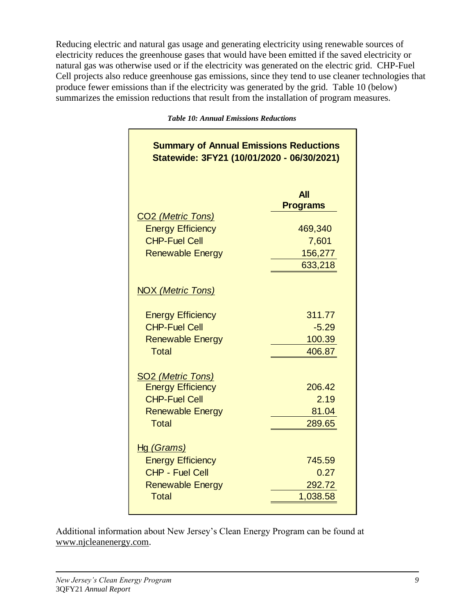Reducing electric and natural gas usage and generating electricity using renewable sources of electricity reduces the greenhouse gases that would have been emitted if the saved electricity or natural gas was otherwise used or if the electricity was generated on the electric grid. CHP-Fuel Cell projects also reduce greenhouse gas emissions, since they tend to use cleaner technologies that produce fewer emissions than if the electricity was generated by the grid. Table 10 (below) summarizes the emission reductions that result from the installation of program measures.

|  |  |  |  | <b>Table 10: Annual Emissions Reductions</b> |
|--|--|--|--|----------------------------------------------|
|--|--|--|--|----------------------------------------------|

| <b>Summary of Annual Emissions Reductions</b><br>Statewide: 3FY21 (10/01/2020 - 06/30/2021) |                               |
|---------------------------------------------------------------------------------------------|-------------------------------|
| CO <sub>2</sub> (Metric Tons)                                                               | <b>All</b><br><b>Programs</b> |
| <b>Energy Efficiency</b>                                                                    | 469,340                       |
| <b>CHP-Fuel Cell</b>                                                                        | 7,601                         |
| <b>Renewable Energy</b>                                                                     | 156,277<br>633,218            |
| <b>NOX (Metric Tons)</b>                                                                    |                               |
| <b>Energy Efficiency</b>                                                                    | 311.77                        |
| <b>CHP-Fuel Cell</b>                                                                        | $-5.29$                       |
| <b>Renewable Energy</b><br><b>Total</b>                                                     | 100.39<br>406.87              |
| <b>SO2 (Metric Tons)</b>                                                                    |                               |
| <b>Energy Efficiency</b><br><b>CHP-Fuel Cell</b>                                            | 206.42<br>2.19                |
| <b>Renewable Energy</b>                                                                     | 81.04                         |
| <b>Total</b>                                                                                | 289.65                        |
| <u>Hg (Grams)</u>                                                                           |                               |
| <b>Energy Efficiency</b>                                                                    | 745.59                        |
| <b>CHP - Fuel Cell</b>                                                                      | 0.27                          |
| <b>Renewable Energy</b><br><b>Total</b>                                                     | 292.72<br>1,038.58            |

Additional information about New Jersey's Clean Energy Program can be found at [www.njcleanenergy.com.](http://www.njcleanenergy.com/)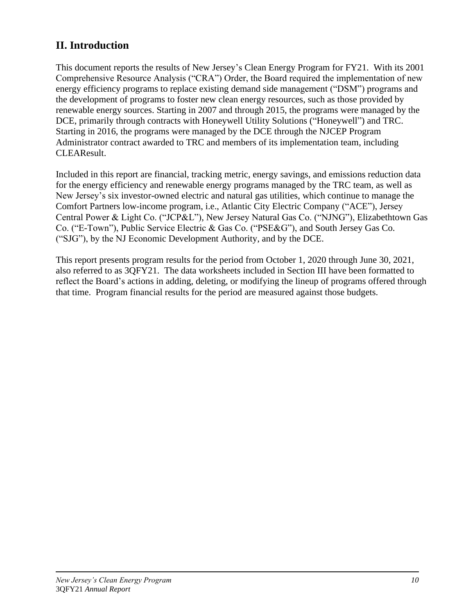# **II. Introduction**

This document reports the results of New Jersey's Clean Energy Program for FY21. With its 2001 Comprehensive Resource Analysis ("CRA") Order, the Board required the implementation of new energy efficiency programs to replace existing demand side management ("DSM") programs and the development of programs to foster new clean energy resources, such as those provided by renewable energy sources. Starting in 2007 and through 2015, the programs were managed by the DCE, primarily through contracts with Honeywell Utility Solutions ("Honeywell") and TRC. Starting in 2016, the programs were managed by the DCE through the NJCEP Program Administrator contract awarded to TRC and members of its implementation team, including CLEAResult.

Included in this report are financial, tracking metric, energy savings, and emissions reduction data for the energy efficiency and renewable energy programs managed by the TRC team, as well as New Jersey's six investor-owned electric and natural gas utilities, which continue to manage the Comfort Partners low-income program, i.e., Atlantic City Electric Company ("ACE"), Jersey Central Power & Light Co. ("JCP&L"), New Jersey Natural Gas Co. ("NJNG"), Elizabethtown Gas Co. ("E-Town"), Public Service Electric & Gas Co. ("PSE&G"), and South Jersey Gas Co. ("SJG"), by the NJ Economic Development Authority, and by the DCE.

This report presents program results for the period from October 1, 2020 through June 30, 2021, also referred to as 3QFY21. The data worksheets included in Section III have been formatted to reflect the Board's actions in adding, deleting, or modifying the lineup of programs offered through that time. Program financial results for the period are measured against those budgets.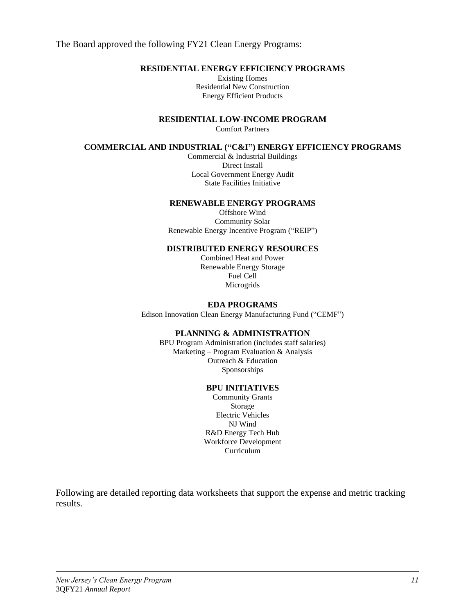The Board approved the following FY21 Clean Energy Programs:

# **RESIDENTIAL ENERGY EFFICIENCY PROGRAMS**

Existing Homes Residential New Construction Energy Efficient Products

**RESIDENTIAL LOW-INCOME PROGRAM**

Comfort Partners

## **COMMERCIAL AND INDUSTRIAL ("C&I") ENERGY EFFICIENCY PROGRAMS**

Commercial & Industrial Buildings Direct Install Local Government Energy Audit State Facilities Initiative

#### **RENEWABLE ENERGY PROGRAMS**

Offshore Wind Community Solar Renewable Energy Incentive Program ("REIP")

## **DISTRIBUTED ENERGY RESOURCES**

Combined Heat and Power Renewable Energy Storage Fuel Cell Microgrids

## **EDA PROGRAMS**

Edison Innovation Clean Energy Manufacturing Fund ("CEMF")

#### **PLANNING & ADMINISTRATION**

BPU Program Administration (includes staff salaries) Marketing – Program Evaluation & Analysis Outreach & Education Sponsorships

### **BPU INITIATIVES**

Community Grants Storage Electric Vehicles NJ Wind R&D Energy Tech Hub Workforce Development Curriculum

Following are detailed reporting data worksheets that support the expense and metric tracking results.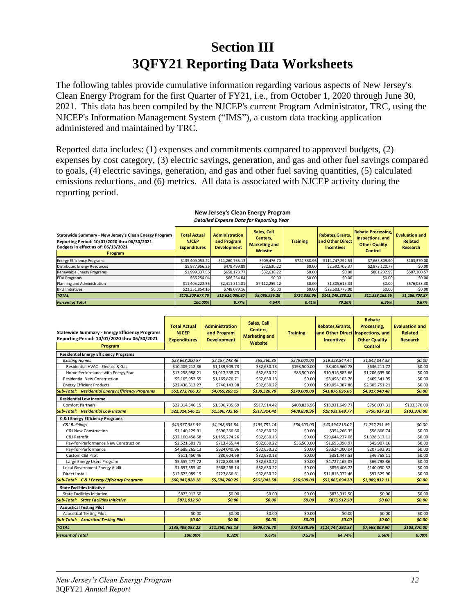# **Section III 3QFY21 Reporting Data Worksheets**

The following tables provide cumulative information regarding various aspects of New Jersey's Clean Energy Program for the first Quarter of FY21, i.e., from October 1, 2020 through June 30, 2021. This data has been compiled by the NJCEP's current Program Administrator, TRC, using the NJCEP's Information Management System ("IMS"), a custom data tracking application administered and maintained by TRC.

Reported data includes: (1) expenses and commitments compared to approved budgets, (2) expenses by cost category, (3) electric savings, generation, and gas and other fuel savings compared to goals, (4) electric savings, generation, and gas and other fuel saving quantities, (5) calculated emissions reductions, and (6) metrics. All data is associated with NJCEP activity during the reporting period.

| Statewide Summary - New Jersey's Clean Energy Program<br>Reporting Period: 10/01/2020 thru 06/30/2021<br>Budgets in effect as of: 06/13/2021<br>Program | <b>Total Actual</b><br><b>NJCEP</b><br><b>Expenditures</b> | <b>Administration</b><br>and Program<br><b>Development</b> | Sales, Call<br>Centers.<br><b>Marketing and</b><br>Website | <b>Training</b> | Rebates.Grants.<br>and Other Direct<br><b>Incentives</b> | <b>Rebate Processing,</b><br>Inspections, and<br><b>Other Quality</b><br><b>Control</b> | <b>Evaluation and</b><br><b>Related</b><br>Research |
|---------------------------------------------------------------------------------------------------------------------------------------------------------|------------------------------------------------------------|------------------------------------------------------------|------------------------------------------------------------|-----------------|----------------------------------------------------------|-----------------------------------------------------------------------------------------|-----------------------------------------------------|
| <b>Energy Efficiency Programs</b>                                                                                                                       | \$135,409,053.22                                           | \$11,260,765.13                                            | \$909,476.70                                               | \$724,338.96    | \$114,747,292.53                                         | \$7,663,809.90                                                                          | \$103,370.00                                        |
| <b>Distributed Energy Resources</b>                                                                                                                     | \$5.977.956.25                                             | \$479,499.89                                               | \$32,630.22                                                | \$0.00          | \$2,592,705.37                                           | \$2,873,120.77                                                                          | \$0.00                                              |
| Renewable Energy Programs                                                                                                                               | \$1,999,337.55                                             | \$658,173.77                                               | \$32,630.22                                                | \$0.00          | \$0.00                                                   | \$801,232.99                                                                            | \$507,300.57                                        |
| <b>EDA Programs</b>                                                                                                                                     | \$66,254.04                                                | \$66,254.04                                                | \$0.00                                                     | \$0.00          | \$0.00                                                   | \$0.00                                                                                  | \$0.00                                              |
| Planning and Administration                                                                                                                             | \$11,405,222.56                                            | \$2,411,314.81                                             | \$7,112,259.12                                             | \$0.00          | \$1,305,615.33                                           | \$0.00                                                                                  | \$576,033.30                                        |
| <b>BPU Initiatives</b>                                                                                                                                  | \$23,351,854.16                                            | \$748,079.16                                               | \$0.00                                                     | \$0.00          | \$22,603,775.00                                          | \$0.00                                                                                  | \$0.00                                              |
| <b>TOTAL</b>                                                                                                                                            | \$178.209.677.78                                           | \$15,624,086.80                                            | \$8.086.996.26                                             | \$724.338.96    | \$141.249.388.23                                         | \$11.338.163.66                                                                         | \$1,186,703.87                                      |
| <b>Percent of Total</b>                                                                                                                                 | 100.00%                                                    | 8.77%                                                      | 4.54%                                                      | 0.41%           | 79.26%                                                   | 6.36%                                                                                   | 0.67%                                               |

#### **New Jersey's Clean Energy Program** *Detailed Expense Data for Reporting Year*

|                                                          | <b>Total Actual</b> | <b>Administration</b> | Sales, Call          |                 | Rebates, Grants,  | <b>Rebate</b><br>Processing. | <b>Evaluation and</b> |
|----------------------------------------------------------|---------------------|-----------------------|----------------------|-----------------|-------------------|------------------------------|-----------------------|
| <b>Statewide Summary - Energy Efficiency Programs</b>    | <b>NJCEP</b>        | and Program           | Centers,             | <b>Training</b> | and Other Direct  | Inspections, and             | <b>Related</b>        |
| Reporting Period: 10/01/2020 thru 06/30/2021             | <b>Expenditures</b> | <b>Development</b>    | <b>Marketing and</b> |                 | <b>Incentives</b> | <b>Other Quality</b>         | <b>Research</b>       |
| Program                                                  |                     |                       | Website              |                 |                   | <b>Control</b>               |                       |
| <b>Residential Energy Efficiency Programs</b>            |                     |                       |                      |                 |                   |                              |                       |
| <b>Existing Homes</b>                                    | \$23,668,200.57     | \$2,157,248.46        | \$65,260.35          | \$279,000.00    | \$19,323,844.44   | \$1,842,847.32               | \$0.00                |
| Residential HVAC - Electric & Gas                        | \$10,409,212.36     | \$1,139,909.73        | \$32,630.13          | \$193,500.00    | \$8,406,960.78    | \$636,211.72                 | \$0.00                |
| Home Performance with Energy Star                        | \$13,258,988.21     | \$1,017,338.73        | \$32,630.22          | \$85,500.00     | \$10,916,883.66   | \$1,206,635.60               | \$0.00                |
| <b>Residential New Construction</b>                      | \$5,165,952.55      | \$1,165,876.71        | \$32,630.13          | \$0.00          | \$3,498,103.76    | \$469,341.95                 | \$0.00                |
| <b>Energy Efficient Products</b>                         | \$22,438,613.27     | \$746,143.98          | \$32,630.22          | \$0.00          | \$19,054,087.86   | \$2,605,751.21               | \$0.00                |
| <b>Sub-Total: Residential Energy Efficiency Programs</b> | \$51,272,766.39     | \$4,069,269.15        | \$130,520.70         | \$279,000.00    | \$41,876,036.06   | \$4,917,940.48               | \$0.00                |
| <b>Residential Low Income</b>                            |                     |                       |                      |                 |                   |                              |                       |
| <b>Comfort Partners</b>                                  | \$22,314,546.15     | \$1,596,735.69        | \$517,914.42         | \$408,838.96    | \$18,931,649.77   | \$756,037.31                 | \$103,370.00          |
| <b>Sub-Total: Residential Low Income</b>                 | \$22,314,546.15     | \$1,596,735.69        | \$517,914.42         | \$408,838.96    | \$18,931,649.77   | \$756,037.31                 | \$103,370.00          |
| C & I Energy Efficiency Programs                         |                     |                       |                      |                 |                   |                              |                       |
| C&I Buildings                                            | \$46,577,383.59     | \$4,198,635.54        | \$195,781.14         | \$36,500.00     | \$40,394,215.02   | \$1,752,251.89               | \$0.00                |
| C&I New Construction                                     | \$1,140,129.91      | \$696,366.60          | \$32,630.22          | \$0.00          | \$354,266.35      | \$56,866.74                  | \$0.00                |
| C&I Retrofit                                             | \$32,160,458.58     | \$1,155,274.26        | \$32,630.13          | \$0.00          | \$29,644,237.08   | \$1,328,317.11               | \$0.00                |
| Pay-for-Performance New Construction                     | \$2,521,601.79      | \$713,465.44          | \$32,630.22          | \$36,500.00     | \$1,693,098.97    | \$45,907.16                  | \$0.00                |
| Pay-for-Performance                                      | \$4,688,265.13      | \$824,040.96          | \$32,630.22          | \$0.00          | \$3,624,000.04    | \$207,593.91                 | \$0.00                |
| Custom C&I Pilot                                         | \$511,450.46        | \$80,604.69           | \$32,630.13          | \$0.00          | \$351,447.53      | \$46,768.11                  | \$0.00                |
| Large Energy Users Program                               | \$5,555,477.72      | \$728,883.59          | \$32,630.22          | \$0.00          | \$4,727,165.05    | \$66,798.86                  | \$0.00                |
| Local Government Energy Audit                            | \$1,697,355.40      | \$668,268.14          | \$32,630.22          | \$0.00          | \$856,406.72      | \$140,050.32                 | \$0.00                |
| Direct Install                                           | \$12.673.089.19     | \$727,856.61          | \$32,630.22          | \$0.00          | \$11,815,072.46   | \$97.529.90                  | \$0.00                |
| <b>Sub-Total: C &amp; I Energy Efficiency Programs</b>   | \$60,947,828.18     | \$5,594,760.29        | \$261,041.58         | \$36,500.00     | \$53,065,694.20   | \$1,989,832.11               | \$0.00                |
| <b>State Facilities Initiative</b>                       |                     |                       |                      |                 |                   |                              |                       |
| <b>State Facilities Initiative</b>                       | \$873,912.50        | \$0.00                | \$0.00               | \$0.00          | \$873,912.50      | \$0.00                       | \$0.00                |
| <b>Sub-Total: State Facilities Initiative</b>            | \$873,912.50        | \$0.00                | \$0.00               | \$0.00          | \$873,912.50      | \$0.00                       | \$0.00                |
| <b>Acoustical Testing Pilot</b>                          |                     |                       |                      |                 |                   |                              |                       |
| <b>Acoustical Testing Pilot</b>                          | \$0.00              | \$0.00                | \$0.00               | \$0.00          | \$0.00            | \$0.00                       | \$0.00                |
| <b>Sub-Total: Acoustical Testing Pilot</b>               | \$0.00              | \$0.00                | \$0.00               | \$0.00          | \$0.00            | \$0.00                       | \$0.00                |
| <b>TOTAL</b>                                             | \$135,409,053.22    | \$11,260,765.13       | \$909,476.70         | \$724,338.96    | \$114,747,292.53  | \$7,663,809.90               | \$103,370.00          |
| <b>Percent of Total</b>                                  | 100.00%             | 8.32%                 | 0.67%                | 0.53%           | 84.74%            | 5.66%                        | 0.08%                 |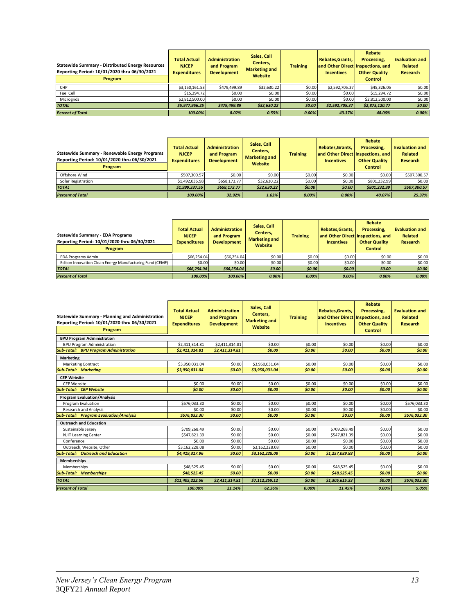| <b>Statewide Summary - Distributed Energy Resources</b><br>Reporting Period: 10/01/2020 thru 06/30/2021<br><b>Program</b> | <b>Total Actual</b><br><b>NJCEP</b><br><b>Expenditures</b> | <b>Administration</b><br>and Program<br><b>Development</b> | Sales, Call<br>Centers,<br><b>Marketing and</b><br>Website | <b>Training</b> | Rebates, Grants,<br><b>Incentives</b> | Rebate<br>Processing.<br>and Other Direct Inspections, and<br><b>Other Quality</b><br><b>Control</b> | <b>Evaluation and</b><br><b>Related</b><br><b>Research</b> |
|---------------------------------------------------------------------------------------------------------------------------|------------------------------------------------------------|------------------------------------------------------------|------------------------------------------------------------|-----------------|---------------------------------------|------------------------------------------------------------------------------------------------------|------------------------------------------------------------|
| CHP                                                                                                                       | \$3,150,161.53                                             | \$479,499.89                                               | \$32,630.22                                                | \$0.00          | \$2,592,705.37                        | \$45,326.05                                                                                          | \$0.00                                                     |
| Fuel Cell                                                                                                                 | \$15,294.72                                                | \$0.00                                                     | \$0.00                                                     | \$0.00          | \$0.00                                | \$15,294.72                                                                                          | \$0.00                                                     |
| Microgrids                                                                                                                | \$2,812,500.00                                             | \$0.00                                                     | \$0.00                                                     | \$0.00          | \$0.00                                | \$2,812,500.00                                                                                       | \$0.00                                                     |
| <b>TOTAL</b>                                                                                                              | \$5.977.956.25                                             | \$479.499.89                                               | \$32,630.22                                                | \$0.00          | \$2.592.705.37                        | \$2,873,120.77                                                                                       | \$0.00                                                     |
| <b>Percent of Total</b>                                                                                                   | 100.00%                                                    | 8.02%                                                      | 0.55%                                                      | 0.00%           | 43.37%                                | 48.06%                                                                                               | 0.00%                                                      |

| Statewide Summary - Renewable Energy Programs<br>Reporting Period: 10/01/2020 thru 06/30/2021<br><b>Program</b> | <b>Total Actual</b><br><b>NJCEP</b><br><b>Expenditures</b> | <b>Administration</b><br>and Program<br><b>Development</b> | Sales, Call<br>Centers,<br><b>Marketing and</b><br>Website | <b>Training</b> | <b>Rebates.Grants.</b><br><b>Incentives</b> | Rebate<br>Processing,<br>and Other Direct Inspections, and<br><b>Other Quality</b><br><b>Control</b> | <b>Evaluation and</b><br><b>Related</b><br>Research |
|-----------------------------------------------------------------------------------------------------------------|------------------------------------------------------------|------------------------------------------------------------|------------------------------------------------------------|-----------------|---------------------------------------------|------------------------------------------------------------------------------------------------------|-----------------------------------------------------|
| Offshore Wind                                                                                                   | \$507,300.57                                               | \$0.00                                                     | \$0.00                                                     | \$0.00          | \$0.00                                      | \$0.00                                                                                               | \$507,300.57                                        |
| Solar Registration                                                                                              | \$1.492.036.98                                             | \$658,173.77                                               | \$32,630.22                                                | \$0.00          | \$0.00                                      | \$801.232.99                                                                                         | \$0.00                                              |
| <b>TOTAL</b>                                                                                                    | \$1,999,337.55                                             | \$658,173.77                                               | \$32,630.22                                                | \$0.00          | \$0.00                                      | \$801,232.99                                                                                         | \$507,300.57                                        |
| <b>Percent of Total</b>                                                                                         | 100.00%                                                    | 32.92%                                                     | 1.63%                                                      | 0.00%           | 0.00%                                       | 40.07%                                                                                               | 25.37%                                              |

| <b>Statewide Summary - EDA Programs</b><br>Reporting Period: 10/01/2020 thru 06/30/2021<br><b>Program</b> | <b>Total Actual</b><br><b>NJCEP</b><br><b>Expenditures</b> | <b>Administration</b><br>and Program<br><b>Development</b> | Sales, Call<br>Centers,<br><b>Marketing and</b><br>Website | <b>Training</b> | <b>Rebates.Grants.</b><br><b>Incentives</b> | Rebate<br>Processing.<br>and Other Direct Inspections, and<br><b>Other Quality</b><br><b>Control</b> | <b>Evaluation and</b><br><b>Related</b><br>Research |
|-----------------------------------------------------------------------------------------------------------|------------------------------------------------------------|------------------------------------------------------------|------------------------------------------------------------|-----------------|---------------------------------------------|------------------------------------------------------------------------------------------------------|-----------------------------------------------------|
| <b>EDA Programs Admin</b>                                                                                 | \$66,254.04                                                | \$66.254.04                                                | \$0.00                                                     | \$0.00          | \$0.00                                      | \$0.00                                                                                               | \$0.00                                              |
| Edison Innovation Clean Energy Manufacturing Fund (CEMF)                                                  | \$0.00                                                     | \$0.00                                                     | \$0.00                                                     | \$0.00          | \$0.00                                      | \$0.00                                                                                               | \$0.00                                              |
| <b>TOTAL</b>                                                                                              | \$66.254.04                                                | \$66,254.04                                                | \$0.00                                                     | \$0.00          | \$0.00                                      | \$0.00                                                                                               | \$0.00                                              |
| <b>Percent of Total</b>                                                                                   | 100.00%                                                    | 100.00%                                                    | 0.00%                                                      | 0.00%           | 0.00%                                       | 0.00%                                                                                                | 0.00%                                               |

| Statewide Summary - Planning and Administration<br>Reporting Period: 10/01/2020 thru 06/30/2021<br>Program | <b>Total Actual</b><br><b>NJCEP</b><br><b>Expenditures</b> | <b>Administration</b><br>and Program<br><b>Development</b> | Sales, Call<br>Centers,<br><b>Marketing and</b><br>Website | <b>Training</b> | Rebates, Grants,<br>and Other Direct Inspections, and<br><b>Incentives</b> | <b>Rebate</b><br>Processing,<br><b>Other Quality</b><br><b>Control</b> | <b>Evaluation and</b><br><b>Related</b><br><b>Research</b> |
|------------------------------------------------------------------------------------------------------------|------------------------------------------------------------|------------------------------------------------------------|------------------------------------------------------------|-----------------|----------------------------------------------------------------------------|------------------------------------------------------------------------|------------------------------------------------------------|
| <b>BPU Program Administration</b>                                                                          |                                                            |                                                            |                                                            |                 |                                                                            |                                                                        |                                                            |
| <b>BPU Program Administration</b>                                                                          | \$2,411,314.81                                             | \$2,411,314.81                                             | \$0.00                                                     | \$0.00          | \$0.00                                                                     | \$0.00                                                                 | \$0.00                                                     |
| <b>Sub-Total: BPU Program Administration</b>                                                               | \$2,411,314.81                                             | \$2,411,314.81                                             | \$0.00                                                     | \$0.00          | \$0.00                                                                     | \$0.00                                                                 | \$0.00                                                     |
| <b>Marketing</b>                                                                                           |                                                            |                                                            |                                                            |                 |                                                                            |                                                                        |                                                            |
| <b>Marketing Contract</b>                                                                                  | \$3,950,031.04                                             | \$0.00                                                     | \$3,950,031.04                                             | \$0.00          | \$0.00                                                                     | \$0.00                                                                 | \$0.00                                                     |
| <b>Sub-Total: Marketing</b>                                                                                | \$3,950,031.04                                             | \$0.00                                                     | \$3,950,031.04                                             | \$0.00          | \$0.00                                                                     | \$0.00                                                                 | \$0.00                                                     |
| <b>CEP Website</b>                                                                                         |                                                            |                                                            |                                                            |                 |                                                                            |                                                                        |                                                            |
| <b>CEP Website</b>                                                                                         | \$0.00                                                     | \$0.00                                                     | \$0.00                                                     | \$0.00          | \$0.00                                                                     | \$0.00                                                                 | \$0.00                                                     |
| <b>Sub-Total: CEP Website</b>                                                                              | \$0.00                                                     | \$0.00                                                     | \$0.00                                                     | \$0.00          | \$0.00                                                                     | \$0.00                                                                 | \$0.00                                                     |
| <b>Program Evaluation/Analysis</b>                                                                         |                                                            |                                                            |                                                            |                 |                                                                            |                                                                        |                                                            |
| Program Evaluation                                                                                         | \$576.033.30                                               | \$0.00                                                     | \$0.00                                                     | \$0.00          | \$0.00                                                                     | \$0.00                                                                 | \$576.033.30                                               |
| <b>Research and Analysis</b>                                                                               | \$0.00                                                     | \$0.00                                                     | \$0.00                                                     | \$0.00          | \$0.00                                                                     | \$0.00                                                                 | \$0.00                                                     |
| <b>Sub-Total: Program Evaluation/Analysis</b>                                                              | \$576.033.30                                               | \$0.00                                                     | \$0.00                                                     | \$0.00          | \$0.00                                                                     | \$0.00                                                                 | \$576,033.30                                               |
| <b>Outreach and Education</b>                                                                              |                                                            |                                                            |                                                            |                 |                                                                            |                                                                        |                                                            |
| Sustainable Jersey                                                                                         | \$709,268.49                                               | \$0.00                                                     | \$0.00                                                     | \$0.00          | \$709,268.49                                                               | \$0.00                                                                 | \$0.00                                                     |
| <b>NJIT Learning Center</b>                                                                                | \$547.821.39                                               | \$0.00                                                     | \$0.00                                                     | \$0.00          | \$547.821.39                                                               | \$0.00                                                                 | \$0.00                                                     |
| Conference                                                                                                 | \$0.00                                                     | \$0.00                                                     | \$0.00                                                     | \$0.00          | \$0.00                                                                     | \$0.00                                                                 | \$0.00                                                     |
| Outreach, Website, Other                                                                                   | \$3,162,228.08                                             | \$0.00                                                     | \$3,162,228.08                                             | \$0.00          | \$0.00                                                                     | \$0.00                                                                 | \$0.00                                                     |
| <b>Sub-Total: Outreach and Education</b>                                                                   | \$4,419,317.96                                             | \$0.00                                                     | \$3,162,228.08                                             | \$0.00          | \$1,257,089.88                                                             | \$0.00                                                                 | \$0.00                                                     |
| <b>Memberships</b>                                                                                         |                                                            |                                                            |                                                            |                 |                                                                            |                                                                        |                                                            |
| <b>Memberships</b>                                                                                         | \$48.525.45                                                | \$0.00                                                     | \$0.00                                                     | \$0.00          | \$48.525.45                                                                | \$0.00                                                                 | \$0.00                                                     |
| <b>Sub-Total: Memberships</b>                                                                              | \$48,525.45                                                | \$0.00                                                     | \$0.00                                                     | \$0.00          | \$48,525.45                                                                | \$0.00                                                                 | \$0.00                                                     |
| <b>TOTAL</b>                                                                                               | \$11,405,222.56                                            | \$2,411,314.81                                             | \$7,112,259.12                                             | \$0.00          | \$1,305,615.33                                                             | \$0.00                                                                 | \$576,033.30                                               |
| <b>Percent of Total</b>                                                                                    | 100.00%                                                    | 21.14%                                                     | 62.36%                                                     | 0.00%           | 11.45%                                                                     | 0.00%                                                                  | 5.05%                                                      |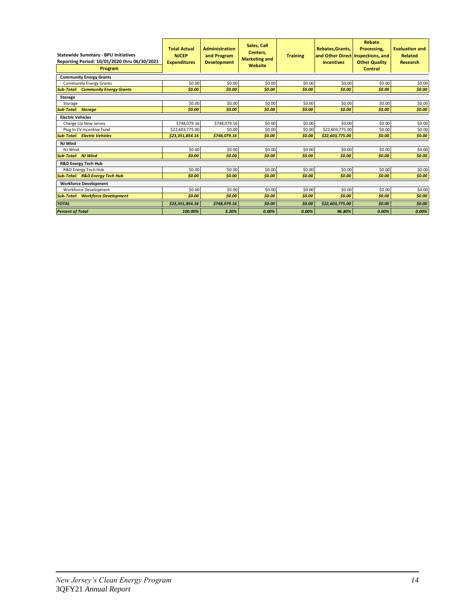| <b>Statewide Summary - BPU Initiatives</b><br>Reporting Period: 10/01/2020 thru 06/30/2021<br>Program | <b>Total Actual</b><br><b>NJCEP</b><br><b>Expenditures</b> | <b>Administration</b><br>and Program<br><b>Development</b> | Sales, Call<br>Centers.<br><b>Training</b><br><b>Marketing and</b><br>Website |        | Rebate<br><b>Rebates.Grants.</b><br>Processing.<br>and Other Direct Inspections, and<br><b>Incentives</b><br><b>Other Quality</b><br><b>Control</b> |        | <b>Evaluation and</b><br><b>Related</b><br><b>Research</b> |
|-------------------------------------------------------------------------------------------------------|------------------------------------------------------------|------------------------------------------------------------|-------------------------------------------------------------------------------|--------|-----------------------------------------------------------------------------------------------------------------------------------------------------|--------|------------------------------------------------------------|
| <b>Community Energy Grants</b>                                                                        |                                                            |                                                            |                                                                               |        |                                                                                                                                                     |        |                                                            |
| <b>Community Energy Grants</b>                                                                        | \$0.00                                                     | \$0.00                                                     | \$0.00                                                                        | \$0.00 | \$0.00                                                                                                                                              | \$0.00 | \$0.00                                                     |
| <b>Sub-Total: Community Energy Grants</b>                                                             | \$0.00                                                     | \$0.00                                                     | \$0.00                                                                        | \$0.00 | \$0.00                                                                                                                                              | \$0.00 | \$0.00                                                     |
| <b>Storage</b>                                                                                        |                                                            |                                                            |                                                                               |        |                                                                                                                                                     |        |                                                            |
| Storage                                                                                               | \$0.00                                                     | \$0.00                                                     | \$0.00                                                                        | \$0.00 | \$0.00                                                                                                                                              | \$0.00 | \$0.00                                                     |
| <b>Sub-Total: Storage</b>                                                                             | \$0.00                                                     | \$0.00                                                     | \$0.00                                                                        | \$0.00 | \$0.00                                                                                                                                              | \$0.00 | \$0.00                                                     |
| <b>Electric Vehicles</b>                                                                              |                                                            |                                                            |                                                                               |        |                                                                                                                                                     |        |                                                            |
| Charge Up New Jersey                                                                                  | \$748,079.16                                               | \$748.079.16                                               | \$0.00                                                                        | \$0.00 | \$0.00                                                                                                                                              | \$0.00 | \$0.00                                                     |
| Plug In EV Incentive Fund                                                                             | \$22,603,775.00                                            | \$0.00                                                     | \$0.00                                                                        | \$0.00 | \$22,603,775.00                                                                                                                                     | \$0.00 | \$0.00                                                     |
| <b>Sub-Total: Electric Vehicles</b>                                                                   | \$23,351,854.16                                            | \$748,079.16                                               | \$0.00                                                                        | \$0.00 | \$22,603,775.00                                                                                                                                     | \$0.00 | \$0.00                                                     |
| NJ Wind                                                                                               |                                                            |                                                            |                                                                               |        |                                                                                                                                                     |        |                                                            |
| NJ Wind                                                                                               | \$0.00                                                     | \$0.00                                                     | \$0.00                                                                        | \$0.00 | \$0.00                                                                                                                                              | \$0.00 | \$0.00                                                     |
| <b>Sub-Total: NJ Wind</b>                                                                             | \$0.00                                                     | \$0.00                                                     | \$0.00                                                                        | \$0.00 | \$0.00                                                                                                                                              | \$0.00 | \$0.00                                                     |
| <b>R&amp;D Energy Tech Hub</b>                                                                        |                                                            |                                                            |                                                                               |        |                                                                                                                                                     |        |                                                            |
| R&D Energy Tech Hub                                                                                   | \$0.00                                                     | \$0.00                                                     | \$0.00                                                                        | \$0.00 | \$0.00                                                                                                                                              | \$0.00 | \$0.00                                                     |
| <b>Sub-Total: R&amp;D Energy Tech Hub</b>                                                             | \$0.00                                                     | \$0.00                                                     | \$0.00                                                                        | \$0.00 | \$0.00                                                                                                                                              | \$0.00 | \$0.00                                                     |
| <b>Workforce Development</b>                                                                          |                                                            |                                                            |                                                                               |        |                                                                                                                                                     |        |                                                            |
| <b>Workforce Development</b>                                                                          | \$0.00                                                     | \$0.00                                                     | \$0.00                                                                        | \$0.00 | \$0.00                                                                                                                                              | \$0.00 | \$0.00                                                     |
| <b>Sub-Total: Workforce Development</b>                                                               | \$0.00                                                     | \$0.00                                                     | \$0.00                                                                        | \$0.00 | \$0.00                                                                                                                                              | \$0.00 | \$0.00                                                     |
| <b>TOTAL</b>                                                                                          | \$23.351.854.16                                            | \$748.079.16                                               | \$0.00                                                                        | \$0.00 | \$22,603,775.00                                                                                                                                     | \$0.00 | \$0.00                                                     |
| <b>Percent of Total</b>                                                                               | 100.00%                                                    | 3.20%                                                      | 0.00%                                                                         | 0.00%  | 96.80%                                                                                                                                              | 0.00%  | 0.00%                                                      |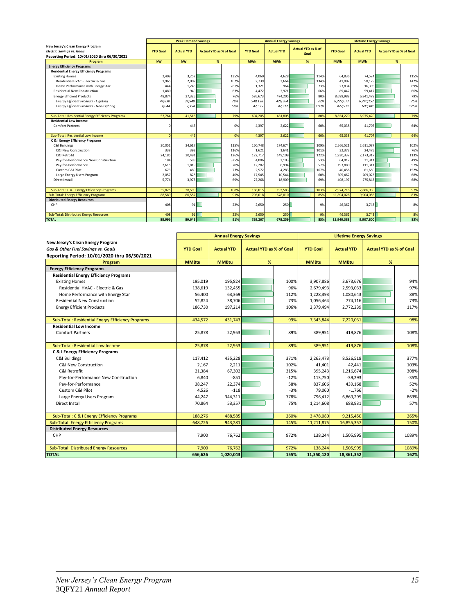|                                                   |                 | <b>Peak Demand Savings</b> |                                |      |                 | <b>Annual Energy Savings</b> |                           |      | <b>Lifetime Energy Savings</b> |                   |                                |      |
|---------------------------------------------------|-----------------|----------------------------|--------------------------------|------|-----------------|------------------------------|---------------------------|------|--------------------------------|-------------------|--------------------------------|------|
| New Jersey's Clean Energy Program                 |                 |                            |                                |      |                 |                              | <b>Actual YTD as % of</b> |      |                                |                   |                                |      |
| <b>Electric Savings vs. Goals</b>                 | <b>YTD Goal</b> | <b>Actual YTD</b>          | <b>Actual YTD as % of Goal</b> |      | <b>YTD Goal</b> | <b>Actual YTD</b>            | Goal                      |      | <b>YTD Goal</b>                | <b>Actual YTD</b> | <b>Actual YTD as % of Goal</b> |      |
| Reporting Period: 10/01/2020 thru 06/30/2021      |                 |                            |                                |      |                 |                              |                           |      |                                |                   |                                |      |
| Program                                           | kW              | kW                         | %                              |      | <b>MWh</b>      | <b>MWh</b>                   | %                         |      | <b>MWh</b>                     | <b>MWh</b>        | %                              |      |
| <b>Energy Efficiency Programs</b>                 |                 |                            |                                |      |                 |                              |                           |      |                                |                   |                                |      |
| <b>Residential Energy Efficiency Programs</b>     |                 |                            |                                |      |                 |                              |                           |      |                                |                   |                                |      |
| <b>Existing Homes</b>                             | 2,409           | 3,252                      |                                | 135% | 4,060           | 4,628                        |                           | 114% | 64,836                         | 74,524            |                                | 115% |
| Residential HVAC - Electric & Gas                 | 1,965           | 2.007                      |                                | 102% | 2.739           | 3.664                        |                           | 134% | 41,002                         | 58.129            |                                | 142% |
| Home Performance with Energy Star                 | 444             | 1,245                      |                                | 281% | 1,321           | 964                          |                           | 73%  | 23.834                         | 16,395            |                                | 69%  |
| <b>Residential New Construction</b>               | 1,480           | 940                        |                                | 63%  | 4,472           | 2,971                        |                           | 66%  | 89,447                         | 59,417            |                                | 66%  |
| <b>Energy Efficient Products</b>                  | 48.874          | 37,325                     |                                | 76%  | 595,673         | 474,205                      |                           | 80%  | 8,699,988                      | 6,841,478         |                                | 79%  |
| <b>Energy Efficient Products - Lighting</b>       | 44,830          | 34,940                     |                                | 78%  | 548,138         | 426,504                      |                           | 78%  | 8,222,077                      | 6,240,157         |                                | 76%  |
| Energy Efficient Products - Non-Lighting          | 4,044           | 2,354                      |                                | 58%  | 47,535          | 47,512                       |                           | 100% | 477,911                        | 600,381           |                                | 126% |
|                                                   |                 |                            |                                |      |                 |                              |                           |      |                                |                   |                                |      |
| Sub-Total: Residential Energy Efficiency Programs | 52,764          | 41.516                     |                                | 79%  | 604,205         | 481,805                      |                           | 80%  | 8,854,270                      | 6,975,420         |                                | 79%  |
| <b>Residential Low Income</b>                     |                 |                            |                                |      |                 |                              |                           |      |                                |                   |                                |      |
| <b>Comfort Partners</b>                           | $\Omega$        | 445                        |                                | 0%   | 4.397           | 2.622                        |                           | 60%  | 65.038                         | 41.707            |                                | 64%  |
|                                                   |                 |                            |                                |      |                 |                              |                           |      |                                |                   |                                |      |
| Sub-Total: Residential Low Income                 | $\Omega$        | 445                        |                                | 0%   | 4,397           | 2,622                        |                           | 60%  | 65.038                         | 41,707            |                                | 64%  |
| C & I Energy Efficiency Programs                  |                 |                            |                                |      |                 |                              |                           |      |                                |                   |                                |      |
| C&I Buildings                                     | 30,051          | 34,617                     |                                | 115% | 160,748         | 174,674                      |                           | 109% | 2,566,521                      | 2,611,087         |                                | 102% |
| C&I New Construction                              | 338             | 393                        |                                | 116% | 1,621           | 1,641                        |                           | 101% | 32,373                         | 24,475            |                                | 76%  |
| C&I Retrofit                                      | 24,185          | 30,491                     |                                | 126% | 122,717         | 149,109                      |                           | 122% | 1,930,337                      | 2,173,317         |                                | 113% |
| Pay-for-Performance New Construction              | 184             | 598                        |                                | 325% | 4.006           | 2.103                        |                           | 53%  | 64,012                         | 31,311            |                                | 49%  |
| Pay-for-Performance                               | 2,615           | 1,819                      |                                | 70%  | 12,287          | 6,994                        |                           | 57%  | 193,880                        | 111,311           |                                | 57%  |
| Custom C&I Pilot                                  | 673             | 489                        |                                | 73%  | 2,572           | 4,283                        |                           | 167% | 40,456                         | 61,650            |                                | 152% |
| Large Energy Users Program                        | 2.057           | 828                        |                                | 40%  | 17.545          | 10.544                       |                           | 60%  | 305,462                        | 209.023           |                                | 68%  |
| Direct Install                                    | 5.774           | 3.973                      |                                | 69%  | 27,268          | 18.909                       |                           | 69%  | 408,197                        | 275,843           |                                | 68%  |
|                                                   |                 |                            |                                |      |                 |                              |                           |      |                                |                   |                                |      |
| Sub-Total: C & I Energy Efficiency Programs       | 35.825          | 38,590                     |                                | 1089 | 188,015         | 193,583                      |                           | 103% | 2.974.718                      | 2.886.930         |                                | 97%  |
| Sub-Total: Energy Efficiency Programs             | 88.589          | 80.552                     |                                | 91%  | 796,618         | 678,010                      |                           | 85%  | 11.894.026                     | 9,904,056         |                                | 83%  |
| <b>Distributed Energy Resources</b>               |                 |                            |                                |      |                 |                              |                           |      |                                |                   |                                |      |
| CHP                                               | 408             | 91                         |                                | 22%  | 2,650           | 250                          |                           | 9%   | 46.362                         | 3,743             |                                | 8%   |
| <b>Sub-Total: Distributed Energy Resources</b>    |                 | 91                         |                                | 22%  | 2,650           | 250                          |                           | 9%   | 46,362                         | 3,743             |                                | 8%   |
|                                                   | 408<br>88.996   | 80.643                     |                                | 91%  | 799.267         | 678.259                      |                           | 85%  |                                |                   |                                | 83%  |
| <b>TOTAL</b>                                      |                 |                            |                                |      |                 |                              |                           |      | 11.940.388                     | 9.907.800         |                                |      |

|                                                   | <b>Annual Energy Savings</b> |                   |                                | <b>Lifetime Energy Savings</b> |                 |                   |                                |        |
|---------------------------------------------------|------------------------------|-------------------|--------------------------------|--------------------------------|-----------------|-------------------|--------------------------------|--------|
| New Jersey's Clean Energy Program                 |                              |                   |                                |                                |                 |                   |                                |        |
| Gas & Other Fuel Savinas vs. Goals                | <b>YTD Goal</b>              | <b>Actual YTD</b> | <b>Actual YTD as % of Goal</b> |                                | <b>YTD Goal</b> | <b>Actual YTD</b> | <b>Actual YTD as % of Goal</b> |        |
| Reporting Period: 10/01/2020 thru 06/30/2021      |                              |                   |                                |                                |                 |                   |                                |        |
| Program                                           | <b>MMBtu</b>                 | <b>MMBtu</b>      | %                              |                                | <b>MMBtu</b>    | <b>MMBtu</b>      | %                              |        |
| <b>Energy Efficiency Programs</b>                 |                              |                   |                                |                                |                 |                   |                                |        |
| <b>Residential Energy Efficiency Programs</b>     |                              |                   |                                |                                |                 |                   |                                |        |
| <b>Existing Homes</b>                             | 195,019                      | 195,824           |                                | 100%                           | 3,907,886       | 3,673,676         |                                | 94%    |
| Residential HVAC - Electric & Gas                 | 138,619                      | 132,455           |                                | 96%                            | 2,679,493       | 2,593,033         |                                | 97%    |
| Home Performance with Energy Star                 | 56,400                       | 63,369            |                                | 112%                           | 1,228,393       | 1,080,643         |                                | 88%    |
| <b>Residential New Construction</b>               | 52,824                       | 38,706            |                                | 73%                            | 1,056,464       | 774,116           |                                | 73%    |
| <b>Energy Efficient Products</b>                  | 186,730                      | 197,214           |                                | 106%                           | 2,379,494       | 2,772,239         |                                | 117%   |
|                                                   |                              |                   |                                |                                |                 |                   |                                |        |
| Sub-Total: Residential Energy Efficiency Programs | 434,572                      | 431,743           |                                | 99%                            | 7,343,844       | 7,220,031         |                                | 98%    |
| <b>Residential Low Income</b>                     |                              |                   |                                |                                |                 |                   |                                |        |
| <b>Comfort Partners</b>                           | 25,878                       | 22,953            |                                | 89%                            | 389,951         | 419,876           |                                | 108%   |
|                                                   |                              |                   |                                |                                |                 |                   |                                |        |
| Sub-Total: Residential Low Income                 | 25,878                       | 22,953            |                                | 89%                            | 389,951         | 419,876           |                                | 108%   |
| <b>C &amp; I Energy Efficiency Programs</b>       |                              |                   |                                |                                |                 |                   |                                |        |
| C&I Buildings                                     | 117,412                      | 435,228           |                                | 371%                           | 2,263,473       | 8,526,518         |                                | 377%   |
| C&I New Construction                              | 2,167                        | 2,211             |                                | 102%                           | 41,401          | 42,441            |                                | 103%   |
| C&I Retrofit                                      | 21,384                       | 67,302            |                                | 315%                           | 395,243         | 1,216,674         |                                | 308%   |
| Pay-for-Performance New Construction              | 6,840                        | $-851$            |                                | $-12%$                         | 113,750         | $-39,293$         |                                | $-35%$ |
| Pay-for-Performance                               | 38,247                       | 22,374            |                                | 58%                            | 837,606         | 439,168           |                                | 52%    |
| Custom C&I Pilot                                  | 4,526                        | $-118$            |                                | $-3%$                          | 79,060          | $-1,766$          |                                | $-2%$  |
| Large Energy Users Program                        | 44,247                       | 344,311           |                                | 778%                           | 796,412         | 6,869,295         |                                | 863%   |
| Direct Install                                    | 70,864                       | 53,357            |                                | 75%                            | 1,214,608       | 688,931           |                                | 57%    |
|                                                   |                              |                   |                                |                                |                 |                   |                                |        |
| Sub-Total: C & I Energy Efficiency Programs       | 188,276                      | 488,585           |                                | 260%                           | 3,478,080       | 9,215,450         |                                | 265%   |
| Sub-Total: Energy Efficiency Programs             | 648,726                      | 943,281           |                                | 145%                           | 11,211,875      | 16,855,357        |                                | 150%   |
| <b>Distributed Energy Resources</b>               |                              |                   |                                |                                |                 |                   |                                |        |
| CHP                                               | 7,900                        | 76,762            |                                | 972%                           | 138,244         | 1,505,995         |                                | 1089%  |
|                                                   |                              |                   |                                |                                |                 |                   |                                |        |
| Sub-Total: Distributed Energy Resources           | 7,900                        | 76,762            |                                | 972%                           | 138,244         | 1,505,995         |                                | 1089%  |
| <b>TOTAL</b>                                      | 656,626                      | 1,020,043         |                                | 155%                           | 11,350,120      | 18,361,352        |                                | 162%   |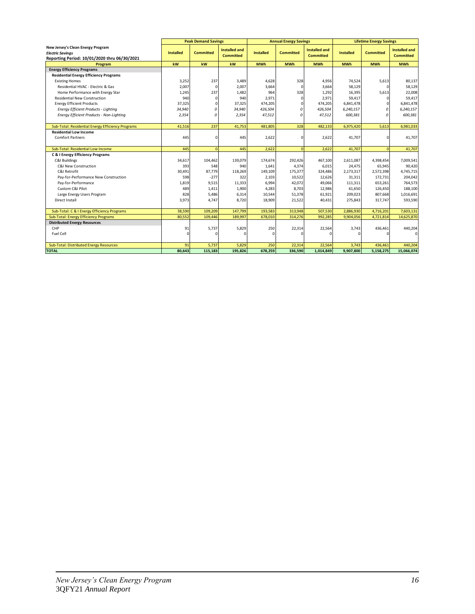| <b>Peak Demand Savings</b><br><b>Lifetime Energy Savings</b><br><b>Annual Energy Savings</b><br><b>Installed and</b><br><b>Installed and</b><br><b>Installed and</b><br><b>Installed</b><br><b>Committed</b><br><b>Installed</b><br><b>Committed</b><br><b>Installed</b><br><b>Committed</b><br><b>Electric Savinas</b><br><b>Committed</b><br><b>Committed</b><br><b>Committed</b><br>Reporting Period: 10/01/2020 thru 06/30/2021<br>kw<br>kW<br>kW<br><b>MWh</b><br><b>MWh</b><br><b>MWh</b><br><b>MWh</b><br><b>MWh</b><br><b>MWh</b><br>Program<br><b>Energy Efficiency Programs</b><br><b>Residential Energy Efficiency Programs</b><br>3,252<br>237<br>4,628<br>74,524<br>80,137<br><b>Existing Homes</b><br>3,489<br>328<br>4,956<br>5,613<br>2,007<br>Residential HVAC - Electric & Gas<br>$\mathbf 0$<br>2,007<br>3,664<br>3,664<br>58,129<br>58,129<br>0<br>0<br>22,008<br>1,245<br>237<br>1,482<br>964<br>328<br>1,292<br>16,395<br>5,613<br>Home Performance with Energy Star<br>$\Omega$<br>940<br>2,971<br>59,417<br><b>Residential New Construction</b><br>940<br>2,971<br>59,417<br>$\Omega$<br>0<br>6,841,478<br><b>Energy Efficient Products</b><br>37,325<br>$\Omega$<br>37,325<br>474,205<br>474,205<br>6,841,478<br>$\Omega$<br>n<br>Energy Efficient Products - Lighting<br>34,940<br>0<br>34,940<br>6,240,157<br>6,240,157<br>426,504<br>$\mathcal{L}$<br>426,504<br>$\Omega$<br>$\theta$<br>Energy Efficient Products - Non-Lighting<br>2,354<br>2,354<br>47,512<br>$\mathcal{L}$<br>47,512<br>600,381<br>600,381<br>$\Omega$<br>Sub-Total: Residential Energy Efficiency Programs<br>237<br>481,805<br>328<br>6,975,420<br>6,981,033<br>41.516<br>41,753<br>482.133<br>5,613<br><b>Residential Low Income</b><br>2,622<br><b>Comfort Partners</b><br>445<br>445<br>2,622<br>41,707<br>41,707<br>$\Omega$<br>0<br>2,622<br>445<br>$\Omega$<br>$\Omega$<br>41,707<br>$\Omega$<br>Sub-Total: Residential Low Income<br>445<br>2,622<br>41,707<br>C & I Energy Efficiency Programs<br>C&I Buildings<br>34,617<br>104,462<br>174,674<br>292,426<br>2,611,087<br>7,009,541<br>139,079<br>467,100<br>4,398,454<br>C&I New Construction<br>393<br>548<br>940<br>1,641<br>4,374<br>24,475<br>65,945<br>90,420<br>6,015<br>87,779<br>30,491<br>175,377<br>2,173,317<br>4,745,715<br>C&I Retrofit<br>118,269<br>149,109<br>324,486<br>2,572,398<br>$-277$<br>598<br>322<br>2,103<br>10,522<br>204,042<br>Pay-for-Performance New Construction<br>12,626<br>31,311<br>172,731<br>6,994<br>Pay-for-Performance<br>1,819<br>9,515<br>11,333<br>42,072<br>49,066<br>653,261<br>764,573<br>111,311<br>Custom C&I Pilot<br>489<br>1,411<br>1,900<br>4,283<br>8,703<br>12,986<br>61,650<br>126,450<br>188,100<br>10,544<br>209,023<br>Large Energy Users Program<br>828<br>5,486<br>6,314<br>51,378<br>61,921<br>807,668<br>1,016,691<br>Direct Install<br>3,973<br>4,747<br>8,720<br>18,909<br>21,522<br>275,843<br>317,747<br>593,590<br>40,431<br>Sub-Total: C & I Energy Efficiency Programs<br>38,590<br>109,209<br>147,799<br>193,583<br>313,948<br>507,530<br>2,886,930<br>7,603,131<br>4,716,201<br>Sub-Total: Energy Efficiency Programs<br>80,552<br>109,446<br>189,997<br>678,010<br>314,276<br>992,285<br>9,904,056<br>4,721,814<br>14,625,870<br><b>Distributed Energy Resources</b><br>CHP<br>91<br>5,737<br>5,829<br>250<br>22,314<br>22,564<br>436,461<br>440,204<br>3,743<br>Fuel Cell<br>$\mathbf 0$<br>$\Omega$<br>U<br>n<br>n<br>Sub-Total: Distributed Energy Resources<br>91<br>5,737<br>5,829<br>250<br>22,314<br>22,564<br>440,204<br>3,743<br>436,461 |                                   |        |         |         |         |         |           |           |           |            |  |
|----------------------------------------------------------------------------------------------------------------------------------------------------------------------------------------------------------------------------------------------------------------------------------------------------------------------------------------------------------------------------------------------------------------------------------------------------------------------------------------------------------------------------------------------------------------------------------------------------------------------------------------------------------------------------------------------------------------------------------------------------------------------------------------------------------------------------------------------------------------------------------------------------------------------------------------------------------------------------------------------------------------------------------------------------------------------------------------------------------------------------------------------------------------------------------------------------------------------------------------------------------------------------------------------------------------------------------------------------------------------------------------------------------------------------------------------------------------------------------------------------------------------------------------------------------------------------------------------------------------------------------------------------------------------------------------------------------------------------------------------------------------------------------------------------------------------------------------------------------------------------------------------------------------------------------------------------------------------------------------------------------------------------------------------------------------------------------------------------------------------------------------------------------------------------------------------------------------------------------------------------------------------------------------------------------------------------------------------------------------------------------------------------------------------------------------------------------------------------------------------------------------------------------------------------------------------------------------------------------------------------------------------------------------------------------------------------------------------------------------------------------------------------------------------------------------------------------------------------------------------------------------------------------------------------------------------------------------------------------------------------------------------------------------------------------------------------------------------------------------------------------------------------------------------------------------------------------------------------------------------------------------------------------------------------------------------------------------------------------------------------------------------------------------------------------------------------------------------------------------------------------------------------------------------------------------------------------------|-----------------------------------|--------|---------|---------|---------|---------|-----------|-----------|-----------|------------|--|
|                                                                                                                                                                                                                                                                                                                                                                                                                                                                                                                                                                                                                                                                                                                                                                                                                                                                                                                                                                                                                                                                                                                                                                                                                                                                                                                                                                                                                                                                                                                                                                                                                                                                                                                                                                                                                                                                                                                                                                                                                                                                                                                                                                                                                                                                                                                                                                                                                                                                                                                                                                                                                                                                                                                                                                                                                                                                                                                                                                                                                                                                                                                                                                                                                                                                                                                                                                                                                                                                                                                                                                                        |                                   |        |         |         |         |         |           |           |           |            |  |
|                                                                                                                                                                                                                                                                                                                                                                                                                                                                                                                                                                                                                                                                                                                                                                                                                                                                                                                                                                                                                                                                                                                                                                                                                                                                                                                                                                                                                                                                                                                                                                                                                                                                                                                                                                                                                                                                                                                                                                                                                                                                                                                                                                                                                                                                                                                                                                                                                                                                                                                                                                                                                                                                                                                                                                                                                                                                                                                                                                                                                                                                                                                                                                                                                                                                                                                                                                                                                                                                                                                                                                                        | New Jersey's Clean Energy Program |        |         |         |         |         |           |           |           |            |  |
|                                                                                                                                                                                                                                                                                                                                                                                                                                                                                                                                                                                                                                                                                                                                                                                                                                                                                                                                                                                                                                                                                                                                                                                                                                                                                                                                                                                                                                                                                                                                                                                                                                                                                                                                                                                                                                                                                                                                                                                                                                                                                                                                                                                                                                                                                                                                                                                                                                                                                                                                                                                                                                                                                                                                                                                                                                                                                                                                                                                                                                                                                                                                                                                                                                                                                                                                                                                                                                                                                                                                                                                        |                                   |        |         |         |         |         |           |           |           |            |  |
|                                                                                                                                                                                                                                                                                                                                                                                                                                                                                                                                                                                                                                                                                                                                                                                                                                                                                                                                                                                                                                                                                                                                                                                                                                                                                                                                                                                                                                                                                                                                                                                                                                                                                                                                                                                                                                                                                                                                                                                                                                                                                                                                                                                                                                                                                                                                                                                                                                                                                                                                                                                                                                                                                                                                                                                                                                                                                                                                                                                                                                                                                                                                                                                                                                                                                                                                                                                                                                                                                                                                                                                        |                                   |        |         |         |         |         |           |           |           |            |  |
|                                                                                                                                                                                                                                                                                                                                                                                                                                                                                                                                                                                                                                                                                                                                                                                                                                                                                                                                                                                                                                                                                                                                                                                                                                                                                                                                                                                                                                                                                                                                                                                                                                                                                                                                                                                                                                                                                                                                                                                                                                                                                                                                                                                                                                                                                                                                                                                                                                                                                                                                                                                                                                                                                                                                                                                                                                                                                                                                                                                                                                                                                                                                                                                                                                                                                                                                                                                                                                                                                                                                                                                        |                                   |        |         |         |         |         |           |           |           |            |  |
|                                                                                                                                                                                                                                                                                                                                                                                                                                                                                                                                                                                                                                                                                                                                                                                                                                                                                                                                                                                                                                                                                                                                                                                                                                                                                                                                                                                                                                                                                                                                                                                                                                                                                                                                                                                                                                                                                                                                                                                                                                                                                                                                                                                                                                                                                                                                                                                                                                                                                                                                                                                                                                                                                                                                                                                                                                                                                                                                                                                                                                                                                                                                                                                                                                                                                                                                                                                                                                                                                                                                                                                        |                                   |        |         |         |         |         |           |           |           |            |  |
|                                                                                                                                                                                                                                                                                                                                                                                                                                                                                                                                                                                                                                                                                                                                                                                                                                                                                                                                                                                                                                                                                                                                                                                                                                                                                                                                                                                                                                                                                                                                                                                                                                                                                                                                                                                                                                                                                                                                                                                                                                                                                                                                                                                                                                                                                                                                                                                                                                                                                                                                                                                                                                                                                                                                                                                                                                                                                                                                                                                                                                                                                                                                                                                                                                                                                                                                                                                                                                                                                                                                                                                        |                                   |        |         |         |         |         |           |           |           |            |  |
|                                                                                                                                                                                                                                                                                                                                                                                                                                                                                                                                                                                                                                                                                                                                                                                                                                                                                                                                                                                                                                                                                                                                                                                                                                                                                                                                                                                                                                                                                                                                                                                                                                                                                                                                                                                                                                                                                                                                                                                                                                                                                                                                                                                                                                                                                                                                                                                                                                                                                                                                                                                                                                                                                                                                                                                                                                                                                                                                                                                                                                                                                                                                                                                                                                                                                                                                                                                                                                                                                                                                                                                        |                                   |        |         |         |         |         |           |           |           |            |  |
|                                                                                                                                                                                                                                                                                                                                                                                                                                                                                                                                                                                                                                                                                                                                                                                                                                                                                                                                                                                                                                                                                                                                                                                                                                                                                                                                                                                                                                                                                                                                                                                                                                                                                                                                                                                                                                                                                                                                                                                                                                                                                                                                                                                                                                                                                                                                                                                                                                                                                                                                                                                                                                                                                                                                                                                                                                                                                                                                                                                                                                                                                                                                                                                                                                                                                                                                                                                                                                                                                                                                                                                        |                                   |        |         |         |         |         |           |           |           |            |  |
|                                                                                                                                                                                                                                                                                                                                                                                                                                                                                                                                                                                                                                                                                                                                                                                                                                                                                                                                                                                                                                                                                                                                                                                                                                                                                                                                                                                                                                                                                                                                                                                                                                                                                                                                                                                                                                                                                                                                                                                                                                                                                                                                                                                                                                                                                                                                                                                                                                                                                                                                                                                                                                                                                                                                                                                                                                                                                                                                                                                                                                                                                                                                                                                                                                                                                                                                                                                                                                                                                                                                                                                        |                                   |        |         |         |         |         |           |           |           |            |  |
|                                                                                                                                                                                                                                                                                                                                                                                                                                                                                                                                                                                                                                                                                                                                                                                                                                                                                                                                                                                                                                                                                                                                                                                                                                                                                                                                                                                                                                                                                                                                                                                                                                                                                                                                                                                                                                                                                                                                                                                                                                                                                                                                                                                                                                                                                                                                                                                                                                                                                                                                                                                                                                                                                                                                                                                                                                                                                                                                                                                                                                                                                                                                                                                                                                                                                                                                                                                                                                                                                                                                                                                        |                                   |        |         |         |         |         |           |           |           |            |  |
|                                                                                                                                                                                                                                                                                                                                                                                                                                                                                                                                                                                                                                                                                                                                                                                                                                                                                                                                                                                                                                                                                                                                                                                                                                                                                                                                                                                                                                                                                                                                                                                                                                                                                                                                                                                                                                                                                                                                                                                                                                                                                                                                                                                                                                                                                                                                                                                                                                                                                                                                                                                                                                                                                                                                                                                                                                                                                                                                                                                                                                                                                                                                                                                                                                                                                                                                                                                                                                                                                                                                                                                        |                                   |        |         |         |         |         |           |           |           |            |  |
|                                                                                                                                                                                                                                                                                                                                                                                                                                                                                                                                                                                                                                                                                                                                                                                                                                                                                                                                                                                                                                                                                                                                                                                                                                                                                                                                                                                                                                                                                                                                                                                                                                                                                                                                                                                                                                                                                                                                                                                                                                                                                                                                                                                                                                                                                                                                                                                                                                                                                                                                                                                                                                                                                                                                                                                                                                                                                                                                                                                                                                                                                                                                                                                                                                                                                                                                                                                                                                                                                                                                                                                        |                                   |        |         |         |         |         |           |           |           |            |  |
|                                                                                                                                                                                                                                                                                                                                                                                                                                                                                                                                                                                                                                                                                                                                                                                                                                                                                                                                                                                                                                                                                                                                                                                                                                                                                                                                                                                                                                                                                                                                                                                                                                                                                                                                                                                                                                                                                                                                                                                                                                                                                                                                                                                                                                                                                                                                                                                                                                                                                                                                                                                                                                                                                                                                                                                                                                                                                                                                                                                                                                                                                                                                                                                                                                                                                                                                                                                                                                                                                                                                                                                        |                                   |        |         |         |         |         |           |           |           |            |  |
|                                                                                                                                                                                                                                                                                                                                                                                                                                                                                                                                                                                                                                                                                                                                                                                                                                                                                                                                                                                                                                                                                                                                                                                                                                                                                                                                                                                                                                                                                                                                                                                                                                                                                                                                                                                                                                                                                                                                                                                                                                                                                                                                                                                                                                                                                                                                                                                                                                                                                                                                                                                                                                                                                                                                                                                                                                                                                                                                                                                                                                                                                                                                                                                                                                                                                                                                                                                                                                                                                                                                                                                        |                                   |        |         |         |         |         |           |           |           |            |  |
|                                                                                                                                                                                                                                                                                                                                                                                                                                                                                                                                                                                                                                                                                                                                                                                                                                                                                                                                                                                                                                                                                                                                                                                                                                                                                                                                                                                                                                                                                                                                                                                                                                                                                                                                                                                                                                                                                                                                                                                                                                                                                                                                                                                                                                                                                                                                                                                                                                                                                                                                                                                                                                                                                                                                                                                                                                                                                                                                                                                                                                                                                                                                                                                                                                                                                                                                                                                                                                                                                                                                                                                        |                                   |        |         |         |         |         |           |           |           |            |  |
|                                                                                                                                                                                                                                                                                                                                                                                                                                                                                                                                                                                                                                                                                                                                                                                                                                                                                                                                                                                                                                                                                                                                                                                                                                                                                                                                                                                                                                                                                                                                                                                                                                                                                                                                                                                                                                                                                                                                                                                                                                                                                                                                                                                                                                                                                                                                                                                                                                                                                                                                                                                                                                                                                                                                                                                                                                                                                                                                                                                                                                                                                                                                                                                                                                                                                                                                                                                                                                                                                                                                                                                        |                                   |        |         |         |         |         |           |           |           |            |  |
|                                                                                                                                                                                                                                                                                                                                                                                                                                                                                                                                                                                                                                                                                                                                                                                                                                                                                                                                                                                                                                                                                                                                                                                                                                                                                                                                                                                                                                                                                                                                                                                                                                                                                                                                                                                                                                                                                                                                                                                                                                                                                                                                                                                                                                                                                                                                                                                                                                                                                                                                                                                                                                                                                                                                                                                                                                                                                                                                                                                                                                                                                                                                                                                                                                                                                                                                                                                                                                                                                                                                                                                        |                                   |        |         |         |         |         |           |           |           |            |  |
|                                                                                                                                                                                                                                                                                                                                                                                                                                                                                                                                                                                                                                                                                                                                                                                                                                                                                                                                                                                                                                                                                                                                                                                                                                                                                                                                                                                                                                                                                                                                                                                                                                                                                                                                                                                                                                                                                                                                                                                                                                                                                                                                                                                                                                                                                                                                                                                                                                                                                                                                                                                                                                                                                                                                                                                                                                                                                                                                                                                                                                                                                                                                                                                                                                                                                                                                                                                                                                                                                                                                                                                        |                                   |        |         |         |         |         |           |           |           |            |  |
|                                                                                                                                                                                                                                                                                                                                                                                                                                                                                                                                                                                                                                                                                                                                                                                                                                                                                                                                                                                                                                                                                                                                                                                                                                                                                                                                                                                                                                                                                                                                                                                                                                                                                                                                                                                                                                                                                                                                                                                                                                                                                                                                                                                                                                                                                                                                                                                                                                                                                                                                                                                                                                                                                                                                                                                                                                                                                                                                                                                                                                                                                                                                                                                                                                                                                                                                                                                                                                                                                                                                                                                        |                                   |        |         |         |         |         |           |           |           |            |  |
|                                                                                                                                                                                                                                                                                                                                                                                                                                                                                                                                                                                                                                                                                                                                                                                                                                                                                                                                                                                                                                                                                                                                                                                                                                                                                                                                                                                                                                                                                                                                                                                                                                                                                                                                                                                                                                                                                                                                                                                                                                                                                                                                                                                                                                                                                                                                                                                                                                                                                                                                                                                                                                                                                                                                                                                                                                                                                                                                                                                                                                                                                                                                                                                                                                                                                                                                                                                                                                                                                                                                                                                        |                                   |        |         |         |         |         |           |           |           |            |  |
|                                                                                                                                                                                                                                                                                                                                                                                                                                                                                                                                                                                                                                                                                                                                                                                                                                                                                                                                                                                                                                                                                                                                                                                                                                                                                                                                                                                                                                                                                                                                                                                                                                                                                                                                                                                                                                                                                                                                                                                                                                                                                                                                                                                                                                                                                                                                                                                                                                                                                                                                                                                                                                                                                                                                                                                                                                                                                                                                                                                                                                                                                                                                                                                                                                                                                                                                                                                                                                                                                                                                                                                        |                                   |        |         |         |         |         |           |           |           |            |  |
|                                                                                                                                                                                                                                                                                                                                                                                                                                                                                                                                                                                                                                                                                                                                                                                                                                                                                                                                                                                                                                                                                                                                                                                                                                                                                                                                                                                                                                                                                                                                                                                                                                                                                                                                                                                                                                                                                                                                                                                                                                                                                                                                                                                                                                                                                                                                                                                                                                                                                                                                                                                                                                                                                                                                                                                                                                                                                                                                                                                                                                                                                                                                                                                                                                                                                                                                                                                                                                                                                                                                                                                        |                                   |        |         |         |         |         |           |           |           |            |  |
|                                                                                                                                                                                                                                                                                                                                                                                                                                                                                                                                                                                                                                                                                                                                                                                                                                                                                                                                                                                                                                                                                                                                                                                                                                                                                                                                                                                                                                                                                                                                                                                                                                                                                                                                                                                                                                                                                                                                                                                                                                                                                                                                                                                                                                                                                                                                                                                                                                                                                                                                                                                                                                                                                                                                                                                                                                                                                                                                                                                                                                                                                                                                                                                                                                                                                                                                                                                                                                                                                                                                                                                        |                                   |        |         |         |         |         |           |           |           |            |  |
|                                                                                                                                                                                                                                                                                                                                                                                                                                                                                                                                                                                                                                                                                                                                                                                                                                                                                                                                                                                                                                                                                                                                                                                                                                                                                                                                                                                                                                                                                                                                                                                                                                                                                                                                                                                                                                                                                                                                                                                                                                                                                                                                                                                                                                                                                                                                                                                                                                                                                                                                                                                                                                                                                                                                                                                                                                                                                                                                                                                                                                                                                                                                                                                                                                                                                                                                                                                                                                                                                                                                                                                        |                                   |        |         |         |         |         |           |           |           |            |  |
|                                                                                                                                                                                                                                                                                                                                                                                                                                                                                                                                                                                                                                                                                                                                                                                                                                                                                                                                                                                                                                                                                                                                                                                                                                                                                                                                                                                                                                                                                                                                                                                                                                                                                                                                                                                                                                                                                                                                                                                                                                                                                                                                                                                                                                                                                                                                                                                                                                                                                                                                                                                                                                                                                                                                                                                                                                                                                                                                                                                                                                                                                                                                                                                                                                                                                                                                                                                                                                                                                                                                                                                        |                                   |        |         |         |         |         |           |           |           |            |  |
|                                                                                                                                                                                                                                                                                                                                                                                                                                                                                                                                                                                                                                                                                                                                                                                                                                                                                                                                                                                                                                                                                                                                                                                                                                                                                                                                                                                                                                                                                                                                                                                                                                                                                                                                                                                                                                                                                                                                                                                                                                                                                                                                                                                                                                                                                                                                                                                                                                                                                                                                                                                                                                                                                                                                                                                                                                                                                                                                                                                                                                                                                                                                                                                                                                                                                                                                                                                                                                                                                                                                                                                        |                                   |        |         |         |         |         |           |           |           |            |  |
|                                                                                                                                                                                                                                                                                                                                                                                                                                                                                                                                                                                                                                                                                                                                                                                                                                                                                                                                                                                                                                                                                                                                                                                                                                                                                                                                                                                                                                                                                                                                                                                                                                                                                                                                                                                                                                                                                                                                                                                                                                                                                                                                                                                                                                                                                                                                                                                                                                                                                                                                                                                                                                                                                                                                                                                                                                                                                                                                                                                                                                                                                                                                                                                                                                                                                                                                                                                                                                                                                                                                                                                        |                                   |        |         |         |         |         |           |           |           |            |  |
|                                                                                                                                                                                                                                                                                                                                                                                                                                                                                                                                                                                                                                                                                                                                                                                                                                                                                                                                                                                                                                                                                                                                                                                                                                                                                                                                                                                                                                                                                                                                                                                                                                                                                                                                                                                                                                                                                                                                                                                                                                                                                                                                                                                                                                                                                                                                                                                                                                                                                                                                                                                                                                                                                                                                                                                                                                                                                                                                                                                                                                                                                                                                                                                                                                                                                                                                                                                                                                                                                                                                                                                        |                                   |        |         |         |         |         |           |           |           |            |  |
|                                                                                                                                                                                                                                                                                                                                                                                                                                                                                                                                                                                                                                                                                                                                                                                                                                                                                                                                                                                                                                                                                                                                                                                                                                                                                                                                                                                                                                                                                                                                                                                                                                                                                                                                                                                                                                                                                                                                                                                                                                                                                                                                                                                                                                                                                                                                                                                                                                                                                                                                                                                                                                                                                                                                                                                                                                                                                                                                                                                                                                                                                                                                                                                                                                                                                                                                                                                                                                                                                                                                                                                        |                                   |        |         |         |         |         |           |           |           |            |  |
|                                                                                                                                                                                                                                                                                                                                                                                                                                                                                                                                                                                                                                                                                                                                                                                                                                                                                                                                                                                                                                                                                                                                                                                                                                                                                                                                                                                                                                                                                                                                                                                                                                                                                                                                                                                                                                                                                                                                                                                                                                                                                                                                                                                                                                                                                                                                                                                                                                                                                                                                                                                                                                                                                                                                                                                                                                                                                                                                                                                                                                                                                                                                                                                                                                                                                                                                                                                                                                                                                                                                                                                        |                                   |        |         |         |         |         |           |           |           |            |  |
|                                                                                                                                                                                                                                                                                                                                                                                                                                                                                                                                                                                                                                                                                                                                                                                                                                                                                                                                                                                                                                                                                                                                                                                                                                                                                                                                                                                                                                                                                                                                                                                                                                                                                                                                                                                                                                                                                                                                                                                                                                                                                                                                                                                                                                                                                                                                                                                                                                                                                                                                                                                                                                                                                                                                                                                                                                                                                                                                                                                                                                                                                                                                                                                                                                                                                                                                                                                                                                                                                                                                                                                        |                                   |        |         |         |         |         |           |           |           |            |  |
|                                                                                                                                                                                                                                                                                                                                                                                                                                                                                                                                                                                                                                                                                                                                                                                                                                                                                                                                                                                                                                                                                                                                                                                                                                                                                                                                                                                                                                                                                                                                                                                                                                                                                                                                                                                                                                                                                                                                                                                                                                                                                                                                                                                                                                                                                                                                                                                                                                                                                                                                                                                                                                                                                                                                                                                                                                                                                                                                                                                                                                                                                                                                                                                                                                                                                                                                                                                                                                                                                                                                                                                        |                                   |        |         |         |         |         |           |           |           |            |  |
|                                                                                                                                                                                                                                                                                                                                                                                                                                                                                                                                                                                                                                                                                                                                                                                                                                                                                                                                                                                                                                                                                                                                                                                                                                                                                                                                                                                                                                                                                                                                                                                                                                                                                                                                                                                                                                                                                                                                                                                                                                                                                                                                                                                                                                                                                                                                                                                                                                                                                                                                                                                                                                                                                                                                                                                                                                                                                                                                                                                                                                                                                                                                                                                                                                                                                                                                                                                                                                                                                                                                                                                        |                                   |        |         |         |         |         |           |           |           |            |  |
|                                                                                                                                                                                                                                                                                                                                                                                                                                                                                                                                                                                                                                                                                                                                                                                                                                                                                                                                                                                                                                                                                                                                                                                                                                                                                                                                                                                                                                                                                                                                                                                                                                                                                                                                                                                                                                                                                                                                                                                                                                                                                                                                                                                                                                                                                                                                                                                                                                                                                                                                                                                                                                                                                                                                                                                                                                                                                                                                                                                                                                                                                                                                                                                                                                                                                                                                                                                                                                                                                                                                                                                        |                                   |        |         |         |         |         |           |           |           |            |  |
|                                                                                                                                                                                                                                                                                                                                                                                                                                                                                                                                                                                                                                                                                                                                                                                                                                                                                                                                                                                                                                                                                                                                                                                                                                                                                                                                                                                                                                                                                                                                                                                                                                                                                                                                                                                                                                                                                                                                                                                                                                                                                                                                                                                                                                                                                                                                                                                                                                                                                                                                                                                                                                                                                                                                                                                                                                                                                                                                                                                                                                                                                                                                                                                                                                                                                                                                                                                                                                                                                                                                                                                        | <b>TOTAL</b>                      | 80.643 | 115,183 | 195.826 | 678.259 | 336.590 | 1,014,849 | 9,907,800 | 5,158,275 | 15,066,074 |  |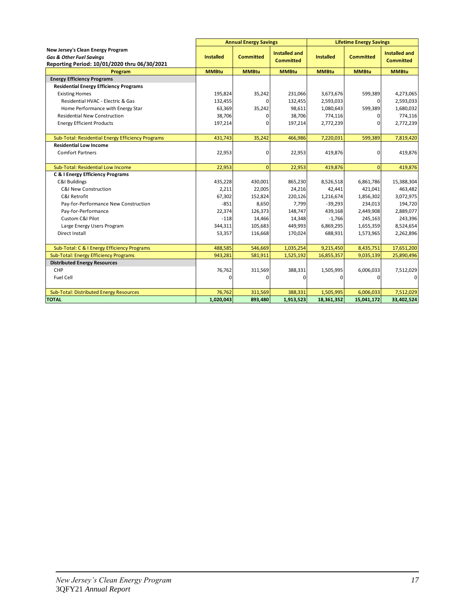|                                                                                                                          | <b>Annual Energy Savings</b> |                  |                                          | <b>Lifetime Energy Savings</b> |                  |                                          |  |
|--------------------------------------------------------------------------------------------------------------------------|------------------------------|------------------|------------------------------------------|--------------------------------|------------------|------------------------------------------|--|
| New Jersey's Clean Energy Program<br><b>Gas &amp; Other Fuel Savings</b><br>Reporting Period: 10/01/2020 thru 06/30/2021 | <b>Installed</b>             | <b>Committed</b> | <b>Installed and</b><br><b>Committed</b> | <b>Installed</b>               | <b>Committed</b> | <b>Installed and</b><br><b>Committed</b> |  |
| <b>Program</b>                                                                                                           | <b>MMBtu</b>                 | <b>MMBtu</b>     | <b>MMBtu</b>                             | <b>MMBtu</b>                   | <b>MMBtu</b>     | <b>MMBtu</b>                             |  |
| <b>Energy Efficiency Programs</b>                                                                                        |                              |                  |                                          |                                |                  |                                          |  |
| <b>Residential Energy Efficiency Programs</b>                                                                            |                              |                  |                                          |                                |                  |                                          |  |
| <b>Existing Homes</b>                                                                                                    | 195,824                      | 35,242           | 231,066                                  | 3,673,676                      | 599,389          | 4,273,065                                |  |
| Residential HVAC - Electric & Gas                                                                                        | 132,455                      |                  | 132,455                                  | 2,593,033                      | O.               | 2,593,033                                |  |
| Home Performance with Energy Star                                                                                        | 63,369                       | 35,242           | 98,611                                   | 1,080,643                      | 599,389          | 1,680,032                                |  |
| <b>Residential New Construction</b>                                                                                      | 38,706                       | 0                | 38,706                                   | 774,116                        | $\Omega$         | 774,116                                  |  |
| <b>Energy Efficient Products</b>                                                                                         | 197,214                      | 0                | 197,214                                  | 2,772,239                      | $\Omega$         | 2,772,239                                |  |
| Sub-Total: Residential Energy Efficiency Programs                                                                        | 431,743                      | 35,242           | 466,986                                  | 7,220,031                      | 599,389          | 7,819,420                                |  |
| <b>Residential Low Income</b>                                                                                            |                              |                  |                                          |                                |                  |                                          |  |
| <b>Comfort Partners</b>                                                                                                  | 22,953                       | 0                | 22,953                                   | 419,876                        | $\Omega$         | 419,876                                  |  |
| Sub-Total: Residential Low Income                                                                                        | 22,953                       | $\mathbf{0}$     | 22,953                                   | 419,876                        | $\Omega$         | 419,876                                  |  |
| <b>C &amp; I Energy Efficiency Programs</b>                                                                              |                              |                  |                                          |                                |                  |                                          |  |
| C&I Buildings                                                                                                            | 435,228                      | 430,001          | 865,230                                  | 8,526,518                      | 6,861,786        | 15,388,304                               |  |
| <b>C&amp;I New Construction</b>                                                                                          | 2,211                        | 22,005           | 24,216                                   | 42,441                         | 421,041          | 463,482                                  |  |
| C&I Retrofit                                                                                                             | 67,302                       | 152,824          | 220,126                                  | 1,216,674                      | 1,856,302        | 3,072,975                                |  |
| Pay-for-Performance New Construction                                                                                     | $-851$                       | 8,650            | 7,799                                    | $-39,293$                      | 234,013          | 194,720                                  |  |
| Pay-for-Performance                                                                                                      | 22,374                       | 126,373          | 148,747                                  | 439,168                        | 2,449,908        | 2,889,077                                |  |
| Custom C&I Pilot                                                                                                         | $-118$                       | 14,466           | 14,348                                   | $-1,766$                       | 245,163          | 243,396                                  |  |
| Large Energy Users Program                                                                                               | 344,311                      | 105,683          | 449,993                                  | 6,869,295                      | 1,655,359        | 8,524,654                                |  |
| Direct Install                                                                                                           | 53,357                       | 116,668          | 170,024                                  | 688,931                        | 1,573,965        | 2,262,896                                |  |
| Sub-Total: C & I Energy Efficiency Programs                                                                              | 488,585                      | 546,669          | 1,035,254                                | 9,215,450                      | 8,435,751        | 17,651,200                               |  |
| <b>Sub-Total: Energy Efficiency Programs</b>                                                                             | 943,281                      | 581,911          | 1,525,192                                | 16,855,357                     | 9,035,139        | 25,890,496                               |  |
| <b>Distributed Energy Resources</b>                                                                                      |                              |                  |                                          |                                |                  |                                          |  |
| CHP                                                                                                                      | 76,762                       | 311,569          | 388,331                                  | 1,505,995                      | 6,006,033        | 7,512,029                                |  |
| Fuel Cell                                                                                                                | $\Omega$                     | 0                | 0                                        | 0                              | $\Omega$         | $\mathbf 0$                              |  |
| <b>Sub-Total: Distributed Energy Resources</b>                                                                           | 76,762                       | 311,569          | 388,331                                  | 1,505,995                      | 6,006,033        | 7,512,029                                |  |
| <b>TOTAL</b>                                                                                                             | 1,020,043                    | 893,480          | 1,913,523                                | 18,361,352                     | 15,041,172       | 33,402,524                               |  |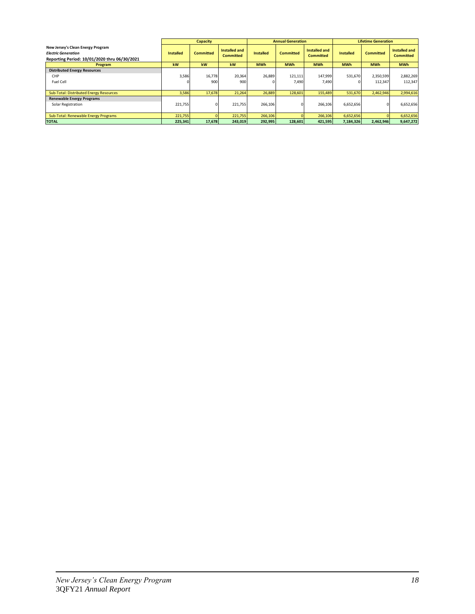|                                                                                                                 |                  | <b>Capacity</b>  |                                   |                  | <b>Annual Generation</b> |                                   | <b>Lifetime Generation</b> |                  |                                   |
|-----------------------------------------------------------------------------------------------------------------|------------------|------------------|-----------------------------------|------------------|--------------------------|-----------------------------------|----------------------------|------------------|-----------------------------------|
| New Jersey's Clean Energy Program<br><b>Electric Generation</b><br>Reporting Period: 10/01/2020 thru 06/30/2021 | <b>Installed</b> | <b>Committed</b> | Installed and<br><b>Committed</b> | <b>Installed</b> | <b>Committed</b>         | Installed and<br><b>Committed</b> | <b>Installed</b>           | <b>Committed</b> | Installed and<br><b>Committed</b> |
| Program                                                                                                         | kW               | kW               | kW                                | <b>MWh</b>       | <b>MWh</b>               | <b>MWh</b>                        | <b>MWh</b>                 | <b>MWh</b>       | <b>MWh</b>                        |
| <b>Distributed Energy Resources</b>                                                                             |                  |                  |                                   |                  |                          |                                   |                            |                  |                                   |
| CHP                                                                                                             | 3,586            | 16,778           | 20,364                            | 26,889           | 121,111                  | 147,999                           | 531,670                    | 2,350,599        | 2,882,269                         |
| Fuel Cell                                                                                                       |                  | 900              | 900                               |                  | 7,490                    | 7,490                             |                            | 112,347          | 112,347                           |
|                                                                                                                 |                  |                  |                                   |                  |                          |                                   |                            |                  |                                   |
| Sub-Total: Distributed Energy Resources                                                                         | 3,586            | 17,678           | 21,264                            | 26,889           | 128,601                  | 155,489                           | 531,670                    | 2,462,946        | 2,994,616                         |
| <b>Renewable Energy Programs</b>                                                                                |                  |                  |                                   |                  |                          |                                   |                            |                  |                                   |
| Solar Registration                                                                                              | 221,755          | 01               | 221,755                           | 266,106          |                          | 266,106                           | 6,652,656                  | $\Omega$         | 6,652,656                         |
|                                                                                                                 |                  |                  |                                   |                  |                          |                                   |                            |                  |                                   |
| Sub-Total: Renewable Energy Programs                                                                            | 221,755          |                  | 221,755                           | 266,106          |                          | 266,106                           | 6,652,656                  |                  | 6,652,656                         |
| <b>TOTAL</b>                                                                                                    | 225,341          | 17,678           | 243,019                           | 292,995          | 128,601                  | 421,595                           | 7,184,326                  | 2,462,946        | 9,647,272                         |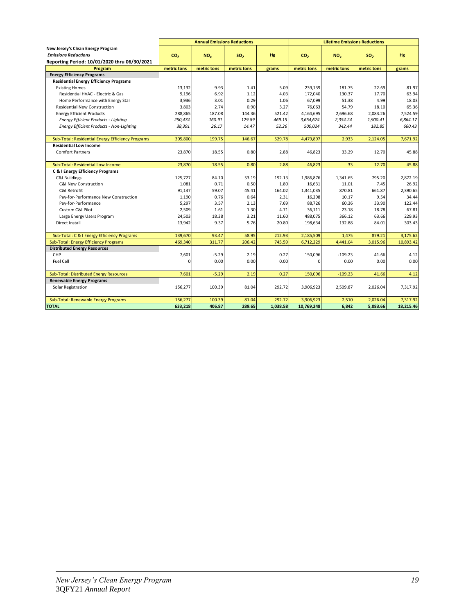|                                                   |                 | <b>Annual Emissions Reductions</b> |                 |          |                 | <b>Lifetime Emissions Reductions</b> |                 |           |
|---------------------------------------------------|-----------------|------------------------------------|-----------------|----------|-----------------|--------------------------------------|-----------------|-----------|
| New Jersey's Clean Energy Program                 |                 |                                    |                 |          |                 |                                      |                 |           |
| <b>Emissions Reductions</b>                       | CO <sub>2</sub> | NO <sub>x</sub>                    | SO <sub>2</sub> | Hg       | CO <sub>2</sub> | NO <sub>x</sub>                      | SO <sub>2</sub> | Hg        |
| Reporting Period: 10/01/2020 thru 06/30/2021      |                 |                                    |                 |          |                 |                                      |                 |           |
| Program                                           | metric tons     | metric tons                        | metric tons     | grams    | metric tons     | metric tons                          | metric tons     | grams     |
| <b>Energy Efficiency Programs</b>                 |                 |                                    |                 |          |                 |                                      |                 |           |
| <b>Residential Energy Efficiency Programs</b>     |                 |                                    |                 |          |                 |                                      |                 |           |
| <b>Existing Homes</b>                             | 13,132          | 9.93                               | 1.41            | 5.09     | 239,139         | 181.75                               | 22.69           | 81.97     |
| Residential HVAC - Electric & Gas                 | 9,196           | 6.92                               | 1.12            | 4.03     | 172,040         | 130.37                               | 17.70           | 63.94     |
| Home Performance with Energy Star                 | 3,936           | 3.01                               | 0.29            | 1.06     | 67,099          | 51.38                                | 4.99            | 18.03     |
| <b>Residential New Construction</b>               | 3.803           | 2.74                               | 0.90            | 3.27     | 76.063          | 54.79                                | 18.10           | 65.36     |
| <b>Energy Efficient Products</b>                  | 288,865         | 187.08                             | 144.36          | 521.42   | 4,164,695       | 2,696.68                             | 2.083.26        | 7.524.59  |
| <b>Energy Efficient Products - Lighting</b>       | 250,474         | 160.91                             | 129.89          | 469.15   | 3,664,674       | 2,354.24                             | 1,900.41        | 6,864.17  |
| Energy Efficient Products - Non-Lighting          | 38,391          | 26.17                              | 14.47           | 52.26    | 500,024         | 342.44                               | 182.85          | 660.43    |
|                                                   |                 |                                    |                 |          |                 |                                      |                 |           |
| Sub-Total: Residential Energy Efficiency Programs | 305,800         | 199.75                             | 146.67          | 529.78   | 4,479,897       | 2,933                                | 2,124.05        | 7,671.92  |
| <b>Residential Low Income</b>                     |                 |                                    |                 |          |                 |                                      |                 |           |
| <b>Comfort Partners</b>                           | 23,870          | 18.55                              | 0.80            | 2.88     | 46,823          | 33.29                                | 12.70           | 45.88     |
| Sub-Total: Residential Low Income                 | 23,870          | 18.55                              | 0.80            | 2.88     | 46,823          | 33                                   | 12.70           | 45.88     |
| C & I Energy Efficiency Programs                  |                 |                                    |                 |          |                 |                                      |                 |           |
| <b>C&amp;I Buildings</b>                          | 125.727         | 84.10                              | 53.19           | 192.13   | 1,986,876       | 1.341.65                             | 795.20          | 2.872.19  |
| C&I New Construction                              | 1,081           | 0.71                               | 0.50            | 1.80     | 16,631          | 11.01                                | 7.45            | 26.92     |
| C&I Retrofit                                      | 91,147          | 59.07                              | 45.41           | 164.02   | 1,341,035       | 870.81                               | 661.87          | 2.390.65  |
| Pay-for-Performance New Construction              | 1,190           | 0.76                               | 0.64            | 2.31     | 16,298          | 10.17                                | 9.54            | 34.44     |
| Pay-for-Performance                               | 5,297           | 3.57                               | 2.13            | 7.69     | 88,726          | 60.36                                | 33.90           | 122.44    |
| Custom C&I Pilot                                  | 2,509           | 1.61                               | 1.30            | 4.71     | 36,111          | 23.18                                | 18.78           | 67.81     |
| Large Energy Users Program                        | 24,503          | 18.38                              | 3.21            | 11.60    | 488,075         | 366.12                               | 63.66           | 229.93    |
| Direct Install                                    | 13,942          | 9.37                               | 5.76            | 20.80    | 198,634         | 132.88                               | 84.01           | 303.43    |
|                                                   |                 |                                    |                 |          |                 |                                      |                 |           |
| Sub-Total: C & I Energy Efficiency Programs       | 139.670         | 93.47                              | 58.95           | 212.93   | 2,185,509       | 1.475                                | 879.21          | 3.175.62  |
| Sub-Total: Energy Efficiency Programs             | 469,340         | 311.77                             | 206.42          | 745.59   | 6,712,229       | 4,441.04                             | 3,015.96        | 10,893.42 |
| <b>Distributed Energy Resources</b>               |                 |                                    |                 |          |                 |                                      |                 |           |
| CHP                                               | 7,601           | $-5.29$                            | 2.19            | 0.27     | 150,096         | $-109.23$                            | 41.66           | 4.12      |
| Fuel Cell                                         | $\Omega$        | 0.00                               | 0.00            | 0.00     | n               | 0.00                                 | 0.00            | 0.00      |
|                                                   |                 |                                    |                 |          |                 |                                      |                 |           |
| <b>Sub-Total: Distributed Energy Resources</b>    | 7,601           | $-5.29$                            | 2.19            | 0.27     | 150,096         | $-109.23$                            | 41.66           | 4.12      |
| <b>Renewable Energy Programs</b>                  |                 |                                    |                 |          |                 |                                      |                 |           |
| Solar Registration                                | 156,277         | 100.39                             | 81.04           | 292.72   | 3,906,923       | 2,509.87                             | 2,026.04        | 7,317.92  |
| Sub-Total: Renewable Energy Programs              | 156,277         | 100.39                             | 81.04           | 292.72   | 3,906,923       | 2,510                                | 2,026.04        | 7,317.92  |
| <b>TOTAL</b>                                      | 633,218         | 406.87                             | 289.65          | 1.038.58 | 10,769,248      | 6.842                                | 5.083.66        | 18,215.46 |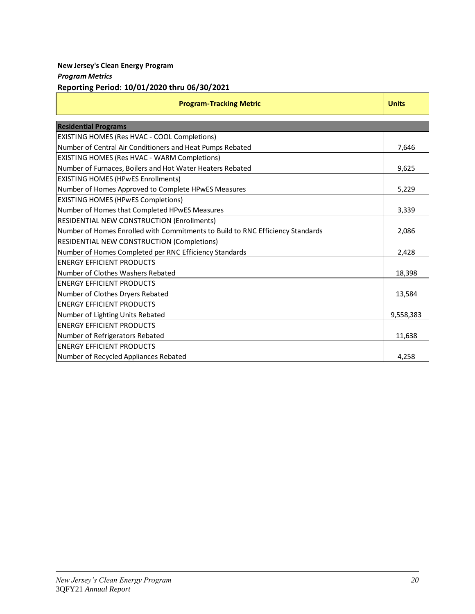# **New Jersey's Clean Energy Program**

## *Program Metrics*

# **Reporting Period: 10/01/2020 thru 06/30/2021**

| <b>Program-Tracking Metric</b>                                                 | <b>Units</b> |
|--------------------------------------------------------------------------------|--------------|
| <b>Residential Programs</b>                                                    |              |
| EXISTING HOMES (Res HVAC - COOL Completions)                                   |              |
| Number of Central Air Conditioners and Heat Pumps Rebated                      | 7,646        |
| <b>EXISTING HOMES (Res HVAC - WARM Completions)</b>                            |              |
| Number of Furnaces, Boilers and Hot Water Heaters Rebated                      | 9,625        |
| <b>EXISTING HOMES (HPWES Enrollments)</b>                                      |              |
| Number of Homes Approved to Complete HPwES Measures                            | 5,229        |
| <b>EXISTING HOMES (HPwES Completions)</b>                                      |              |
| Number of Homes that Completed HPwES Measures                                  | 3,339        |
| <b>RESIDENTIAL NEW CONSTRUCTION (Enrollments)</b>                              |              |
| Number of Homes Enrolled with Commitments to Build to RNC Efficiency Standards | 2,086        |
| RESIDENTIAL NEW CONSTRUCTION (Completions)                                     |              |
| Number of Homes Completed per RNC Efficiency Standards                         | 2,428        |
| <b>ENERGY EFFICIENT PRODUCTS</b>                                               |              |
| Number of Clothes Washers Rebated                                              | 18,398       |
| <b>ENERGY EFFICIENT PRODUCTS</b>                                               |              |
| Number of Clothes Dryers Rebated                                               | 13,584       |
| <b>ENERGY EFFICIENT PRODUCTS</b>                                               |              |
| Number of Lighting Units Rebated                                               | 9,558,383    |
| <b>ENERGY EFFICIENT PRODUCTS</b>                                               |              |
| Number of Refrigerators Rebated                                                | 11,638       |
| <b>ENERGY EFFICIENT PRODUCTS</b>                                               |              |
| Number of Recycled Appliances Rebated                                          | 4,258        |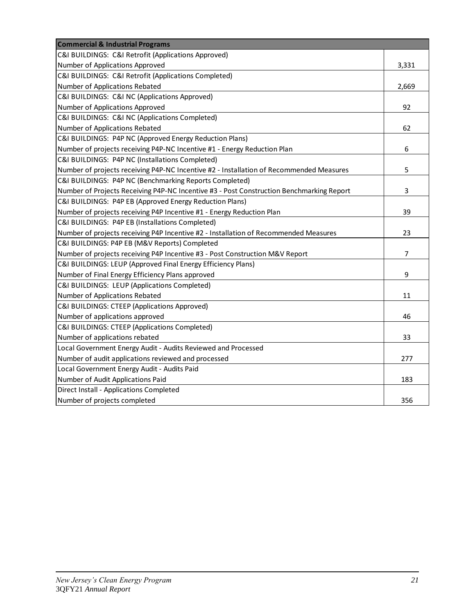| <b>Commercial &amp; Industrial Programs</b>                                              |       |
|------------------------------------------------------------------------------------------|-------|
| C&I BUILDINGS: C&I Retrofit (Applications Approved)                                      |       |
| Number of Applications Approved                                                          | 3,331 |
| C&I BUILDINGS: C&I Retrofit (Applications Completed)                                     |       |
| Number of Applications Rebated                                                           | 2,669 |
| C&I BUILDINGS: C&I NC (Applications Approved)                                            |       |
| Number of Applications Approved                                                          | 92    |
| C&I BUILDINGS: C&I NC (Applications Completed)                                           |       |
| Number of Applications Rebated                                                           | 62    |
| C&I BUILDINGS: P4P NC (Approved Energy Reduction Plans)                                  |       |
| Number of projects receiving P4P-NC Incentive #1 - Energy Reduction Plan                 | 6     |
| C&I BUILDINGS: P4P NC (Installations Completed)                                          |       |
| Number of projects receiving P4P-NC Incentive #2 - Installation of Recommended Measures  | 5     |
| C&I BUILDINGS: P4P NC (Benchmarking Reports Completed)                                   |       |
| Number of Projects Receiving P4P-NC Incentive #3 - Post Construction Benchmarking Report | 3     |
| C&I BUILDINGS: P4P EB (Approved Energy Reduction Plans)                                  |       |
| Number of projects receiving P4P Incentive #1 - Energy Reduction Plan                    | 39    |
| C&I BUILDINGS: P4P EB (Installations Completed)                                          |       |
| Number of projects receiving P4P Incentive #2 - Installation of Recommended Measures     | 23    |
| C&I BUILDINGS: P4P EB (M&V Reports) Completed                                            |       |
| Number of projects receiving P4P Incentive #3 - Post Construction M&V Report             | 7     |
| C&I BUILDINGS: LEUP (Approved Final Energy Efficiency Plans)                             |       |
| Number of Final Energy Efficiency Plans approved                                         | 9     |
| C&I BUILDINGS: LEUP (Applications Completed)                                             |       |
| Number of Applications Rebated                                                           | 11    |
| C&I BUILDINGS: CTEEP (Applications Approved)                                             |       |
| Number of applications approved                                                          | 46    |
| C&I BUILDINGS: CTEEP (Applications Completed)                                            |       |
| Number of applications rebated                                                           | 33    |
| Local Government Energy Audit - Audits Reviewed and Processed                            |       |
| Number of audit applications reviewed and processed                                      | 277   |
| Local Government Energy Audit - Audits Paid                                              |       |
| Number of Audit Applications Paid                                                        | 183   |
| Direct Install - Applications Completed                                                  |       |
| Number of projects completed                                                             | 356   |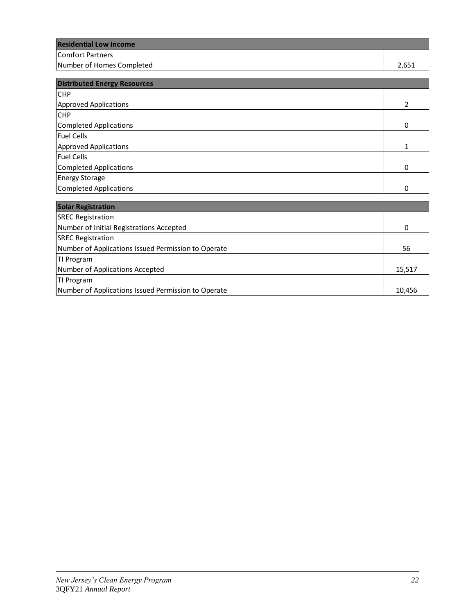| <b>Residential Low Income</b> |       |
|-------------------------------|-------|
| Comfort Partners              |       |
| Number of Homes Completed     | 2.651 |

| <b>Distributed Energy Resources</b> |   |
|-------------------------------------|---|
| <b>CHP</b>                          |   |
| <b>Approved Applications</b>        | າ |
| <b>CHP</b>                          |   |
| Completed Applications              | 0 |
| Fuel Cells                          |   |
| <b>Approved Applications</b>        |   |
| <b>Fuel Cells</b>                   |   |
| <b>Completed Applications</b>       | 0 |
| <b>Energy Storage</b>               |   |
| Completed Applications              | 0 |

| <b>Solar Registration</b>                           |        |
|-----------------------------------------------------|--------|
| <b>SREC Registration</b>                            |        |
| Number of Initial Registrations Accepted            | 0      |
| <b>SREC Registration</b>                            |        |
| Number of Applications Issued Permission to Operate | 56     |
| TI Program                                          |        |
| Number of Applications Accepted                     | 15,517 |
| TI Program                                          |        |
| Number of Applications Issued Permission to Operate | 10,456 |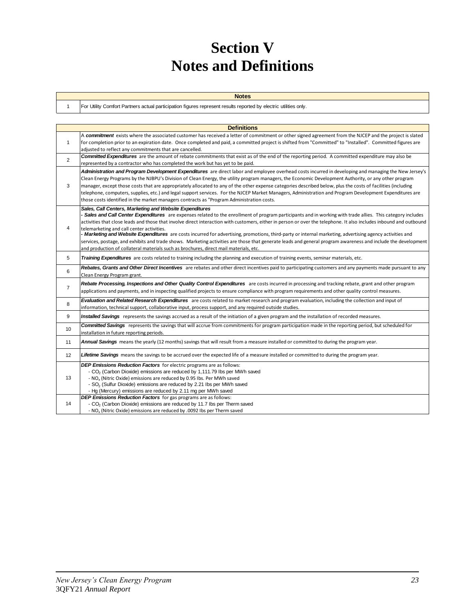# **Section V Notes and Definitions**

| <b>Notes</b> |
|--------------|
|              |

For Utility Comfort Partners actual participation figures represent results reported by electric utilities only.

1

|                | <b>Definitions</b>                                                                                                                                                                                                                                                                                                                                                                                                                                                                                                                                                                                                                                                                                                                                                                                                                                                 |
|----------------|--------------------------------------------------------------------------------------------------------------------------------------------------------------------------------------------------------------------------------------------------------------------------------------------------------------------------------------------------------------------------------------------------------------------------------------------------------------------------------------------------------------------------------------------------------------------------------------------------------------------------------------------------------------------------------------------------------------------------------------------------------------------------------------------------------------------------------------------------------------------|
|                | A commitment exists where the associated customer has received a letter of commitment or other signed agreement from the NJCEP and the project is slated                                                                                                                                                                                                                                                                                                                                                                                                                                                                                                                                                                                                                                                                                                           |
| $\mathbf{1}$   | for completion prior to an expiration date. Once completed and paid, a committed project is shifted from "Committed" to "Installed". Committed figures are<br>adjusted to reflect any commitments that are cancelled.                                                                                                                                                                                                                                                                                                                                                                                                                                                                                                                                                                                                                                              |
|                | <b>Committed Expenditures</b> are the amount of rebate commitments that exist as of the end of the reporting period. A committed expenditure may also be                                                                                                                                                                                                                                                                                                                                                                                                                                                                                                                                                                                                                                                                                                           |
| 2              | represented by a contractor who has completed the work but has yet to be paid.                                                                                                                                                                                                                                                                                                                                                                                                                                                                                                                                                                                                                                                                                                                                                                                     |
| 3              | Administration and Program Development Expenditures are direct labor and employee overhead costs incurred in developing and managing the New Jersey's<br>Clean Energy Programs by the NJBPU's Division of Clean Energy, the utility program managers, the Economic Development Authority, or any other program<br>manager, except those costs that are appropriately allocated to any of the other expense categories described below, plus the costs of facilities (including<br>telephone, computers, supplies, etc.) and legal support services. For the NJCEP Market Managers, Administration and Program Development Expenditures are<br>those costs identified in the market managers contracts as "Program Administration costs.                                                                                                                            |
| 4              | Sales, Call Centers, Marketing and Website Expenditures<br>- Sales and Call Center Expenditures are expenses related to the enrollment of program participants and in working with trade allies. This category includes<br>activities that close leads and those that involve direct interaction with customers, either in person or over the telephone. It also includes inbound and outbound<br>telemarketing and call center activities.<br>- Marketing and Website Expenditures are costs incurred for advertising, promotions, third-party or internal marketing, advertising agency activities and<br>services, postage, and exhibits and trade shows. Marketing activities are those that generate leads and general program awareness and include the development<br>and production of collateral materials such as brochures, direct mail materials, etc. |
| 5              | Training Expenditures are costs related to training including the planning and execution of training events, seminar materials, etc.                                                                                                                                                                                                                                                                                                                                                                                                                                                                                                                                                                                                                                                                                                                               |
| 6              | Rebates, Grants and Other Direct Incentives are rebates and other direct incentives paid to participating customers and any payments made pursuant to any<br>Clean Energy Program grant.                                                                                                                                                                                                                                                                                                                                                                                                                                                                                                                                                                                                                                                                           |
| $\overline{7}$ | Rebate Processing, Inspections and Other Quality Control Expenditures are costs incurred in processing and tracking rebate, grant and other program<br>applications and payments, and in inspecting qualified projects to ensure compliance with program requirements and other quality control measures.                                                                                                                                                                                                                                                                                                                                                                                                                                                                                                                                                          |
| 8              | Evaluation and Related Research Expenditures are costs related to market research and program evaluation, including the collection and input of<br>information, technical support, collaborative input, process support, and any required outside studies.                                                                                                                                                                                                                                                                                                                                                                                                                                                                                                                                                                                                         |
| 9              | Installed Savings represents the savings accrued as a result of the initiation of a given program and the installation of recorded measures.                                                                                                                                                                                                                                                                                                                                                                                                                                                                                                                                                                                                                                                                                                                       |
| 10             | <b>Committed Savings</b> represents the savings that will accrue from commitments for program participation made in the reporting period, but scheduled for<br>installation in future reporting periods.                                                                                                                                                                                                                                                                                                                                                                                                                                                                                                                                                                                                                                                           |
| 11             | Annual Savings means the yearly (12 months) savings that will result from a measure installed or committed to during the program year.                                                                                                                                                                                                                                                                                                                                                                                                                                                                                                                                                                                                                                                                                                                             |
| 12             | Lifetime Savings means the savings to be accrued over the expected life of a measure installed or committed to during the program year.                                                                                                                                                                                                                                                                                                                                                                                                                                                                                                                                                                                                                                                                                                                            |
| 13             | <b>DEP Emissions Reduction Factors</b> for electric programs are as follows:<br>- CO <sub>2</sub> (Carbon Dioxide) emissions are reduced by 1,111.79 lbs per MWh saved<br>- NO <sub>v</sub> (Nitric Oxide) emissions are reduced by 0.95 lbs. Per MWh saved<br>- SO <sub>2</sub> (Sulfur Dioxide) emissions are reduced by 2.21 lbs per MWh saved<br>- Hg (Mercury) emissions are reduced by 2.11 mg per MWh saved                                                                                                                                                                                                                                                                                                                                                                                                                                                 |
| 14             | <b>DEP Emissions Reduction Factors</b> for gas programs are as follows:<br>- CO <sub>2</sub> (Carbon Dioxide) emissions are reduced by 11.7 lbs per Therm saved<br>- NO <sub>v</sub> (Nitric Oxide) emissions are reduced by .0092 Ibs per Therm saved                                                                                                                                                                                                                                                                                                                                                                                                                                                                                                                                                                                                             |